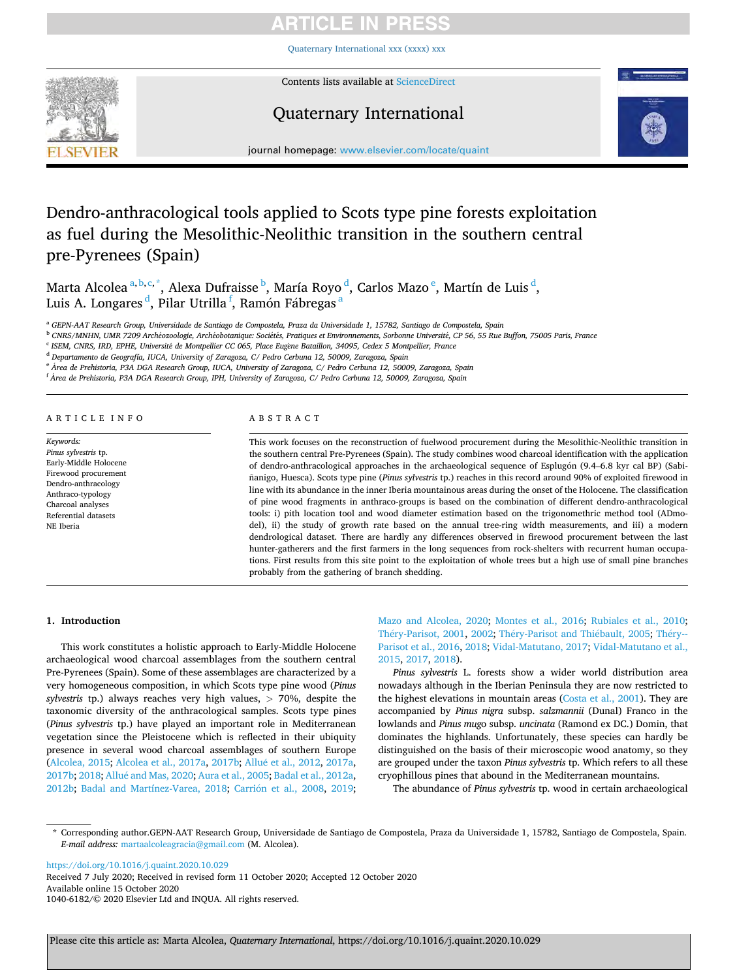# **RTICLE IN PRESS**

Quaternary [International xxx \(xxxx\) xxx](https://doi.org/10.1016/j.quaint.2020.10.029)



Contents lists available at [ScienceDirect](www.sciencedirect.com/science/journal/10406182)

# Quaternary International



journal homepage: [www.elsevier.com/locate/quaint](https://www.elsevier.com/locate/quaint)

# Dendro-anthracological tools applied to Scots type pine forests exploitation as fuel during the Mesolithic-Neolithic transition in the southern central pre-Pyrenees (Spain)

Marta Alcolea <sup>a, b, c, \*</sup>, Alexa Dufraisse <sup>b</sup>, María Royo <sup>d</sup>, Carlos Mazo <sup>e</sup>, Martín de Luis <sup>d</sup>, Luis A. Longares <sup>d</sup>, Pilar Utrilla <sup>f</sup>, Ramón Fábregas <sup>a</sup>

<sup>a</sup> *GEPN-AAT Research Group, Universidade de Santiago de Compostela, Praza da Universidade 1, 15782, Santiago de Compostela, Spain* 

<sup>b</sup> *CNRS/MNHN, UMR 7209 Arch*´*eozoologie, Arch*´*eobotanique: Soci*´*et*´*es, Pratiques et Environnements, Sorbonne Universit*´*e, CP 56, 55 Rue Buffon, 75005 Paris, France* 

<sup>c</sup> *ISEM, CNRS, IRD, EPHE, Universit*´*e de Montpellier CC 065, Place Eug*`*ene Bataillon, 34095, Cedex 5 Montpellier, France* 

<sup>d</sup> *Departamento de Geografía, IUCA, University of Zaragoza, C/ Pedro Cerbuna 12, 50009, Zaragoza, Spain* 

<sup>e</sup> *Area de Prehistoria, P3A DGA Research Group, IUCA, University of Zaragoza, C/ Pedro Cerbuna 12, 50009, Zaragoza, Spain* ´

<sup>f</sup> *Area de Prehistoria, P3A DGA Research Group, IPH, University of Zaragoza, C/ Pedro Cerbuna 12, 50009, Zaragoza, Spain* ´

A R T I C L E I N F O

*Keywords: Pinus sylvestris* tp. Early-Middle Holocene Firewood procurement Dendro-anthracology Anthraco-typology Charcoal analyses Referential datasets NE Iberia

### ABSTRACT

This work focuses on the reconstruction of fuelwood procurement during the Mesolithic-Neolithic transition in the southern central Pre-Pyrenees (Spain). The study combines wood charcoal identification with the application of dendro-anthracological approaches in the archaeological sequence of Esplugón (9.4-6.8 kyr cal BP) (Sabiñanigo, Huesca). Scots type pine (Pinus sylvestris tp.) reaches in this record around 90% of exploited firewood in line with its abundance in the inner Iberia mountainous areas during the onset of the Holocene. The classification of pine wood fragments in anthraco-groups is based on the combination of different dendro-anthracological tools: i) pith location tool and wood diameter estimation based on the trigonomethric method tool (ADmodel), ii) the study of growth rate based on the annual tree-ring width measurements, and iii) a modern dendrological dataset. There are hardly any differences observed in firewood procurement between the last hunter-gatherers and the first farmers in the long sequences from rock-shelters with recurrent human occupations. First results from this site point to the exploitation of whole trees but a high use of small pine branches probably from the gathering of branch shedding.

### **1. Introduction**

This work constitutes a holistic approach to Early-Middle Holocene archaeological wood charcoal assemblages from the southern central Pre-Pyrenees (Spain). Some of these assemblages are characterized by a very homogeneous composition, in which Scots type pine wood (*Pinus sylvestris* tp.) always reaches very high values, *>* 70%, despite the taxonomic diversity of the anthracological samples. Scots type pines (*Pinus sylvestris* tp.) have played an important role in Mediterranean vegetation since the Pleistocene which is reflected in their ubiquity presence in several wood charcoal assemblages of southern Europe ([Alcolea, 2015](#page-11-0); [Alcolea et al., 2017a, 2017b;](#page-11-0) Allué et al., 2012, 2017a, [2017b; 2018;](#page-11-0) Allué and Mas, 2020; Aura et al., 2005; [Badal et al., 2012a](#page-12-0), [2012b;](#page-12-0) [Badal and Martínez-Varea, 2018](#page-12-0); Carrión et al., 2008, [2019](#page-12-0); [Mazo and Alcolea, 2020;](#page-12-0) [Montes et al., 2016](#page-12-0); [Rubiales et al., 2010](#page-13-0); Théry-Parisot, 2001, [2002;](#page-13-0) Théry-Parisot and Thiébault, 2005; Théry--[Parisot et al., 2016, 2018; Vidal-Matutano, 2017; Vidal-Matutano et al.,](#page-13-0)  [2015, 2017](#page-13-0), [2018\)](#page-13-0).

*Pinus sylvestris* L. forests show a wider world distribution area nowadays although in the Iberian Peninsula they are now restricted to the highest elevations in mountain areas [\(Costa et al., 2001\)](#page-12-0). They are accompanied by *Pinus nigra* subsp. *salzmannii* (Dunal) Franco in the lowlands and *Pinus mug*o subsp. *uncinata* (Ramond ex DC.) Domin, that dominates the highlands. Unfortunately, these species can hardly be distinguished on the basis of their microscopic wood anatomy, so they are grouped under the taxon *Pinus sylvestris* tp. Which refers to all these cryophillous pines that abound in the Mediterranean mountains.

The abundance of *Pinus sylvestris* tp. wood in certain archaeological

<https://doi.org/10.1016/j.quaint.2020.10.029>

Available online 15 October 2020 1040-6182/© 2020 Elsevier Ltd and INQUA. All rights reserved. Received 7 July 2020; Received in revised form 11 October 2020; Accepted 12 October 2020

<sup>\*</sup> Corresponding author.GEPN-AAT Research Group, Universidade de Santiago de Compostela, Praza da Universidade 1, 15782, Santiago de Compostela, Spain. *E-mail address:* [martaalcoleagracia@gmail.com](mailto:martaalcoleagracia@gmail.com) (M. Alcolea).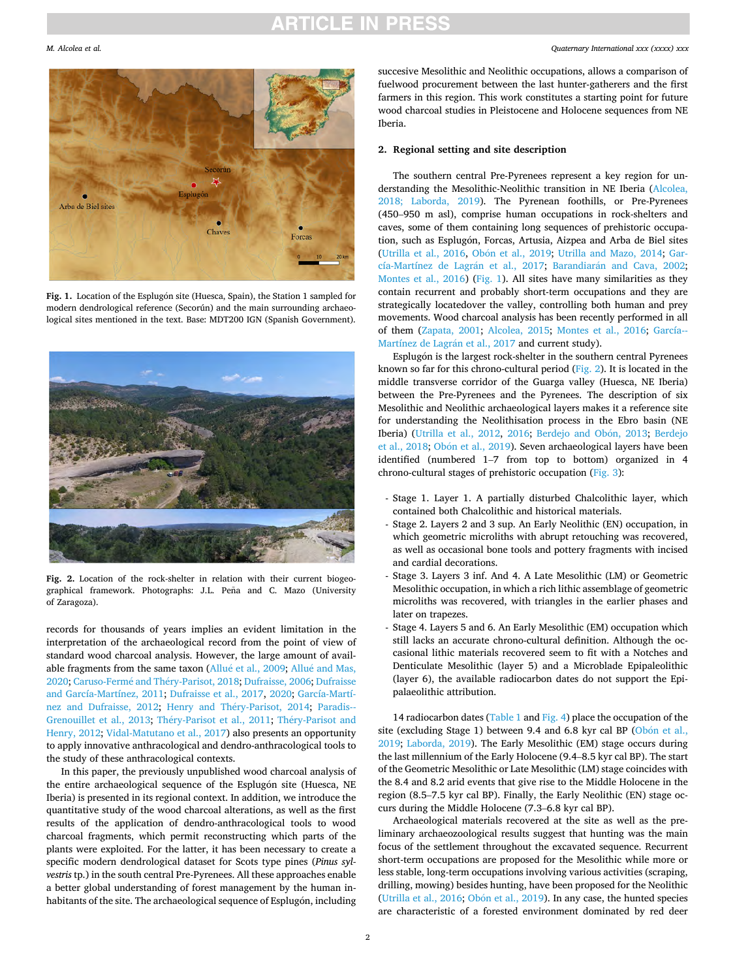# TICLE IN PRESS

# <span id="page-1-0"></span>Arha de Riel site

Fig. 1. Location of the Esplugón site (Huesca, Spain), the Station 1 sampled for modern dendrological reference (Secorún) and the main surrounding archaeological sites mentioned in the text. Base: MDT200 IGN (Spanish Government).



**Fig. 2.** Location of the rock-shelter in relation with their current biogeographical framework. Photographs: J.L. Peña and C. Mazo (University of Zaragoza).

records for thousands of years implies an evident limitation in the interpretation of the archaeological record from the point of view of standard wood charcoal analysis. However, the large amount of available fragments from the same taxon (Allué et al., 2009; Allué and Mas, [2020;](#page-11-0) Caruso-Fermé and Théry-Parisot, 2018; [Dufraisse, 2006](#page-12-0); Dufraisse [and García-Martínez, 2011;](#page-12-0) [Dufraisse et al., 2017,](#page-12-0) [2020; García-Martí](#page-12-0)[nez and Dufraisse, 2012;](#page-12-0) Henry and Théry-Parisot, 2014; [Paradis--](#page-12-0)[Grenouillet et al., 2013](#page-12-0); Théry-Parisot et al., 2011; Théry-Parisot and [Henry, 2012; Vidal-Matutano et al., 2017](#page-13-0)) also presents an opportunity to apply innovative anthracological and dendro-anthracological tools to the study of these anthracological contexts.

In this paper, the previously unpublished wood charcoal analysis of the entire archaeological sequence of the Esplugón site (Huesca, NE Iberia) is presented in its regional context. In addition, we introduce the quantitative study of the wood charcoal alterations, as well as the first results of the application of dendro-anthracological tools to wood charcoal fragments, which permit reconstructing which parts of the plants were exploited. For the latter, it has been necessary to create a specific modern dendrological dataset for Scots type pines (*Pinus sylvestris* tp.) in the south central Pre-Pyrenees. All these approaches enable a better global understanding of forest management by the human inhabitants of the site. The archaeological sequence of Esplugón, including

*Quaternary International xxx (xxxx) xxx*

succesive Mesolithic and Neolithic occupations, allows a comparison of fuelwood procurement between the last hunter-gatherers and the first farmers in this region. This work constitutes a starting point for future wood charcoal studies in Pleistocene and Holocene sequences from NE Iberia.

### **2. Regional setting and site description**

The southern central Pre-Pyrenees represent a key region for understanding the Mesolithic-Neolithic transition in NE Iberia [\(Alcolea,](#page-11-0)  [2018; Laborda, 2019\)](#page-11-0). The Pyrenean foothills, or Pre-Pyrenees (450–950 m asl), comprise human occupations in rock-shelters and caves, some of them containing long sequences of prehistoric occupation, such as Esplugón, Forcas, Artusia, Aizpea and Arba de Biel sites ([Utrilla et al., 2016](#page-13-0), Obón et al., 2019; [Utrilla and Mazo, 2014;](#page-13-0) [Gar](#page-12-0)cía-Martínez de Lagrán et al., 2017; Barandiarán and Cava, 2002; [Montes et al., 2016](#page-12-0)) (Fig. 1). All sites have many similarities as they contain recurrent and probably short-term occupations and they are strategically locatedover the valley, controlling both human and prey movements. Wood charcoal analysis has been recently performed in all of them ([Zapata, 2001;](#page-13-0) [Alcolea, 2015;](#page-11-0) [Montes et al., 2016;](#page-12-0) [García--](#page-12-0)Martínez de Lagrán et al., 2017 and current study).

Esplugón is the largest rock-shelter in the southern central Pyrenees known so far for this chrono-cultural period (Fig. 2). It is located in the middle transverse corridor of the Guarga valley (Huesca, NE Iberia) between the Pre-Pyrenees and the Pyrenees. The description of six Mesolithic and Neolithic archaeological layers makes it a reference site for understanding the Neolithisation process in the Ebro basin (NE Iberia) ([Utrilla et al., 2012,](#page-13-0) [2016](#page-13-0); [Berdejo](#page-12-0) and Obón, 2013; Berdejo [et al., 2018](#page-12-0); Obón et al., 2019). Seven archaeological layers have been identified (numbered 1–7 from top to bottom) organized in 4 chrono-cultural stages of prehistoric occupation ([Fig. 3\)](#page-2-0):

- Stage 1. Layer 1. A partially disturbed Chalcolithic layer, which contained both Chalcolithic and historical materials.
- Stage 2. Layers 2 and 3 sup. An Early Neolithic (EN) occupation, in which geometric microliths with abrupt retouching was recovered, as well as occasional bone tools and pottery fragments with incised and cardial decorations.
- Stage 3. Layers 3 inf. And 4. A Late Mesolithic (LM) or Geometric Mesolithic occupation, in which a rich lithic assemblage of geometric microliths was recovered, with triangles in the earlier phases and later on trapezes.
- Stage 4. Layers 5 and 6. An Early Mesolithic (EM) occupation which still lacks an accurate chrono-cultural definition. Although the occasional lithic materials recovered seem to fit with a Notches and Denticulate Mesolithic (layer 5) and a Microblade Epipaleolithic (layer 6), the available radiocarbon dates do not support the Epipalaeolithic attribution.

14 radiocarbon dates ([Table 1](#page-2-0) and [Fig. 4\)](#page-3-0) place the occupation of the site (excluding Stage 1) between 9.4 and 6.8 kyr cal BP (Obón et al., [2019;](#page-12-0) [Laborda, 2019\)](#page-12-0). The Early Mesolithic (EM) stage occurs during the last millennium of the Early Holocene (9.4–8.5 kyr cal BP). The start of the Geometric Mesolithic or Late Mesolithic (LM) stage coincides with the 8.4 and 8.2 arid events that give rise to the Middle Holocene in the region (8.5–7.5 kyr cal BP). Finally, the Early Neolithic (EN) stage occurs during the Middle Holocene (7.3–6.8 kyr cal BP).

Archaeological materials recovered at the site as well as the preliminary archaeozoological results suggest that hunting was the main focus of the settlement throughout the excavated sequence. Recurrent short-term occupations are proposed for the Mesolithic while more or less stable, long-term occupations involving various activities (scraping, drilling, mowing) besides hunting, have been proposed for the Neolithic (Utrilla et al.,  $2016$ ; Obón et al.,  $2019$ ). In any case, the hunted species are characteristic of a forested environment dominated by red deer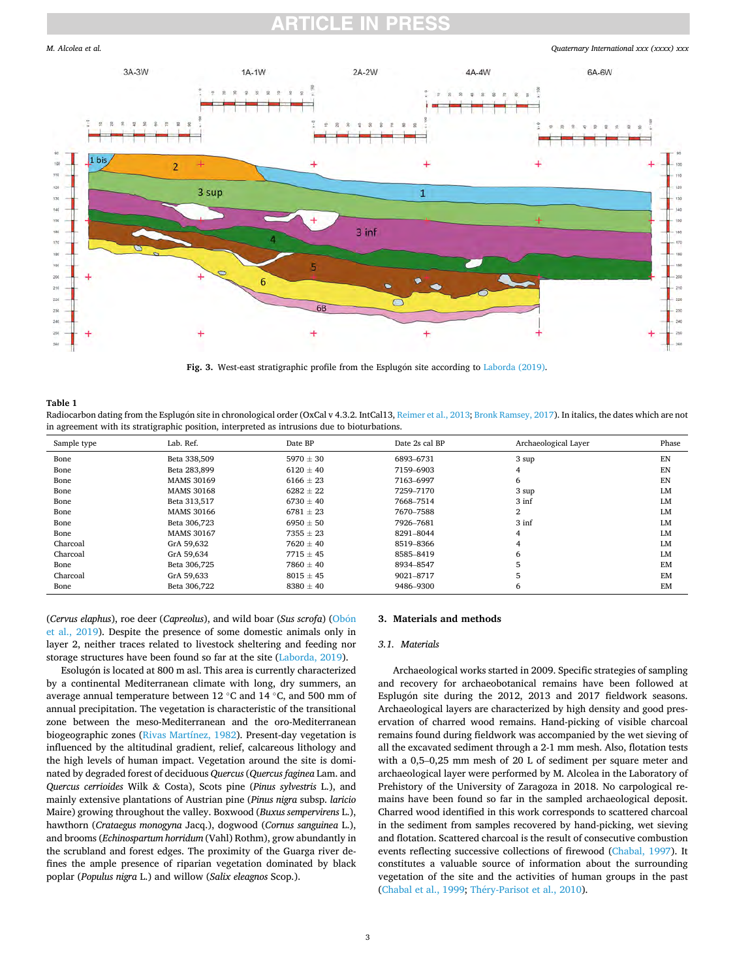*Quaternary International xxx (xxxx) xxx*

<span id="page-2-0"></span>

Fig. 3. West-east stratigraphic profile from the Esplugon site according to [Laborda \(2019\).](#page-12-0)

### **Table 1**

Radiocarbon dating from the Esplugón site in chronological order (OxCal v 4.3.2. IntCal13, [Reimer et al., 2013;](#page-13-0) [Bronk Ramsey, 2017](#page-12-0)). In italics, the dates which are not in agreement with its stratigraphic position, interpreted as intrusions due to bioturbations.

| Sample type | Lab. Ref.         | Date BP       | Date 2s cal BP | Archaeological Layer | Phase |
|-------------|-------------------|---------------|----------------|----------------------|-------|
| Bone        | Beta 338,509      | $5970 \pm 30$ | 6893-6731      | 3 sup                | EN    |
| Bone        | Beta 283,899      | $6120 \pm 40$ | 7159-6903      | 4                    | EN    |
| Bone        | <b>MAMS 30169</b> | $6166 \pm 23$ | 7163-6997      | 6                    | EN    |
| Bone        | <b>MAMS 30168</b> | $6282 \pm 22$ | 7259-7170      | 3 sup                | LM    |
| Bone        | Beta 313,517      | $6730 \pm 40$ | 7668-7514      | 3 inf                | LM    |
| Bone        | <b>MAMS 30166</b> | $6781 \pm 23$ | 7670-7588      | $\overline{2}$       | LM    |
| Bone        | Beta 306,723      | $6950 \pm 50$ | 7926-7681      | $3$ inf              | LM    |
| Bone        | <b>MAMS 30167</b> | $7355 \pm 23$ | 8291-8044      | 4                    | LM    |
| Charcoal    | GrA 59,632        | $7620 \pm 40$ | 8519-8366      |                      | LM    |
| Charcoal    | GrA 59,634        | $7715 \pm 45$ | 8585-8419      | 6                    | LM    |
| Bone        | Beta 306,725      | $7860 \pm 40$ | 8934-8547      | 5                    | EM    |
| Charcoal    | GrA 59,633        | $8015 \pm 45$ | 9021-8717      | 5                    | EM    |
| Bone        | Beta 306,722      | $8380 \pm 40$ | 9486-9300      | 6                    | EM    |

(*Cervus elaphus*), roe deer (*Capreolus*), and wild boar (*Sus scrofa*) (Obón [et al., 2019\)](#page-12-0). Despite the presence of some domestic animals only in layer 2, neither traces related to livestock sheltering and feeding nor storage structures have been found so far at the site [\(Laborda, 2019](#page-12-0)).

Esolugón is located at 800 m asl. This area is currently characterized by a continental Mediterranean climate with long, dry summers, an average annual temperature between 12 ◦C and 14 ◦C, and 500 mm of annual precipitation. The vegetation is characteristic of the transitional zone between the meso-Mediterranean and the oro-Mediterranean biogeographic zones ([Rivas Martínez, 1982\)](#page-13-0). Present-day vegetation is influenced by the altitudinal gradient, relief, calcareous lithology and the high levels of human impact. Vegetation around the site is dominated by degraded forest of deciduous *Quercus* (*Quercus faginea* Lam. and *Quercus cerrioides* Wilk & Costa), Scots pine (*Pinus sylvestris* L.), and mainly extensive plantations of Austrian pine (*Pinus nigra* subsp. *laricio*  Maire) growing throughout the valley. Boxwood (*Buxus sempervirens* L.), hawthorn (*Crataegus monogyna* Jacq.), dogwood (*Cornus sanguinea* L.), and brooms (*Echinospartum horridum* (Vahl) Rothm), grow abundantly in the scrubland and forest edges. The proximity of the Guarga river defines the ample presence of riparian vegetation dominated by black poplar (*Populus nigra* L.) and willow (*Salix eleagnos* Scop.).

### **3. Materials and methods**

### *3.1. Materials*

Archaeological works started in 2009. Specific strategies of sampling and recovery for archaeobotanical remains have been followed at Esplugón site during the 2012, 2013 and 2017 fieldwork seasons. Archaeological layers are characterized by high density and good preservation of charred wood remains. Hand-picking of visible charcoal remains found during fieldwork was accompanied by the wet sieving of all the excavated sediment through a 2-1 mm mesh. Also, flotation tests with a 0,5–0,25 mm mesh of 20 L of sediment per square meter and archaeological layer were performed by M. Alcolea in the Laboratory of Prehistory of the University of Zaragoza in 2018. No carpological remains have been found so far in the sampled archaeological deposit. Charred wood identified in this work corresponds to scattered charcoal in the sediment from samples recovered by hand-picking, wet sieving and flotation. Scattered charcoal is the result of consecutive combustion events reflecting successive collections of firewood [\(Chabal, 1997\)](#page-12-0). It constitutes a valuable source of information about the surrounding vegetation of the site and the activities of human groups in the past ([Chabal et al., 1999;](#page-12-0) Théry-Parisot et al., 2010).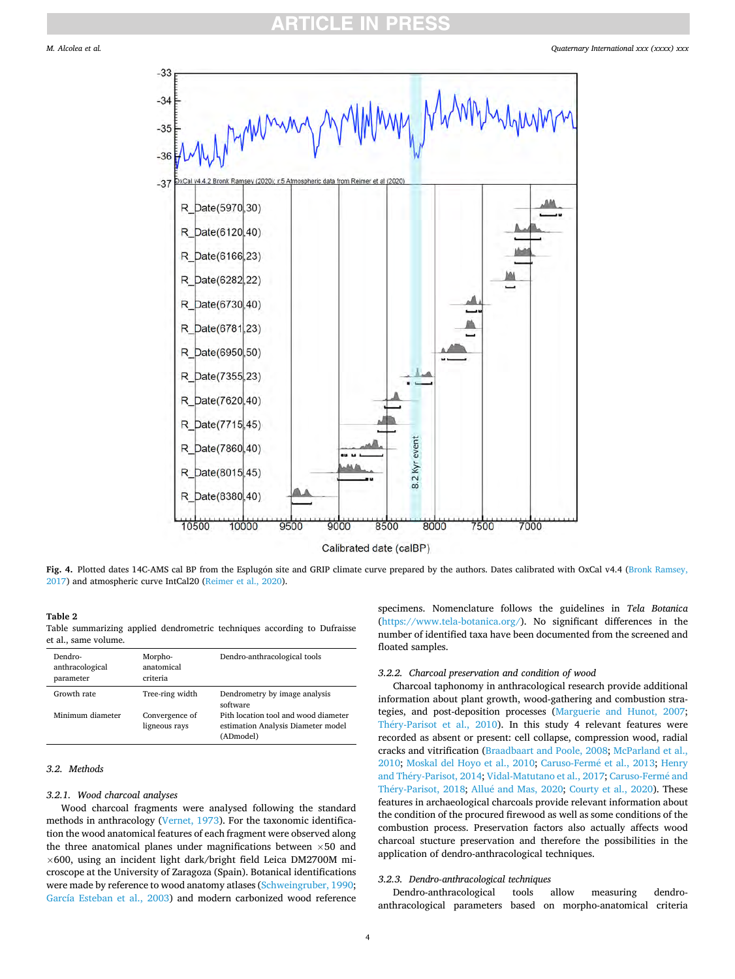<span id="page-3-0"></span>

Fig. 4. Plotted dates 14C-AMS cal BP from the Esplugón site and GRIP climate curve prepared by the authors. Dates calibrated with OxCal v4.4 (Bronk Ramsey, [2017\)](#page-12-0) and atmospheric curve IntCal20 ([Reimer et al., 2020](#page-13-0)).

## **Table 2**

Table summarizing applied dendrometric techniques according to Dufraisse et al., same volume.

| Dendro-<br>anthracological<br>parameter | Morpho-<br>anatomical<br>criteria | Dendro-anthracological tools                                                            |
|-----------------------------------------|-----------------------------------|-----------------------------------------------------------------------------------------|
| Growth rate                             | Tree-ring width                   | Dendrometry by image analysis<br>software                                               |
| Minimum diameter                        | Convergence of<br>ligneous rays   | Pith location tool and wood diameter<br>estimation Analysis Diameter model<br>(ADmodel) |

### *3.2. Methods*

### *3.2.1. Wood charcoal analyses*

Wood charcoal fragments were analysed following the standard methods in anthracology [\(Vernet, 1973\)](#page-13-0). For the taxonomic identification the wood anatomical features of each fragment were observed along the three anatomical planes under magnifications between  $\times$  50 and  $\times 600,$  using an incident light dark/bright field Leica DM2700M microscope at the University of Zaragoza (Spain). Botanical identifications were made by reference to wood anatomy atlases ([Schweingruber, 1990](#page-13-0); [García Esteban et al., 2003](#page-12-0)) and modern carbonized wood reference specimens. Nomenclature follows the guidelines in *Tela Botanica*  ([https://www.tela-botanica.org/\)](https://www.tela-botanica.org/). No significant differences in the number of identified taxa have been documented from the screened and floated samples.

### *3.2.2. Charcoal preservation and condition of wood*

Charcoal taphonomy in anthracological research provide additional information about plant growth, wood-gathering and combustion strategies, and post-deposition processes [\(Marguerie and Hunot, 2007](#page-12-0); Théry-Parisot et al., 2010). In this study 4 relevant features were recorded as absent or present: cell collapse, compression wood, radial cracks and vitrification ([Braadbaart and Poole, 2008; McParland et al.,](#page-12-0)  [2010;](#page-12-0) [Moskal del Hoyo et al., 2010;](#page-12-0) Caruso-Fermé et al., 2013; Henry and Théry-Parisot, 2014; [Vidal-Matutano et al., 2017](#page-13-0); [Caruso-Ferm](#page-12-0)é and Théry-Parisot, 2018; Allué and Mas, 2020; [Courty et al., 2020](#page-12-0)). These features in archaeological charcoals provide relevant information about the condition of the procured firewood as well as some conditions of the combustion process. Preservation factors also actually affects wood charcoal stucture preservation and therefore the possibilities in the application of dendro-anthracological techniques.

### *3.2.3. Dendro-anthracological techniques*

Dendro-anthracological tools allow measuring dendroanthracological parameters based on morpho-anatomical criteria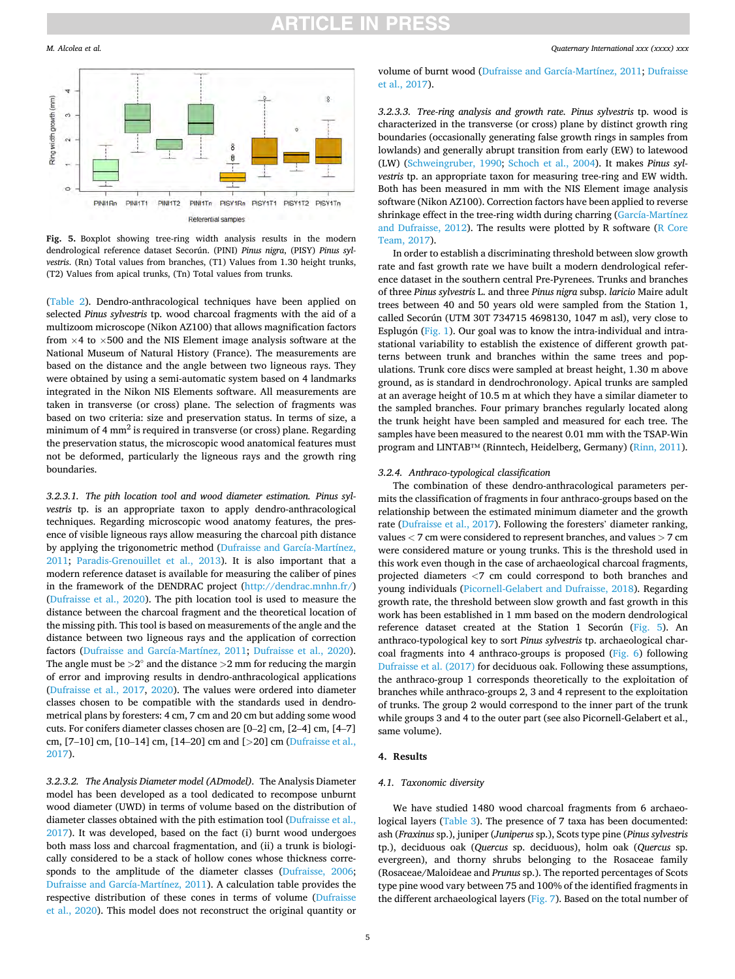# **:TICLE IN PRESS**

<span id="page-4-0"></span>

**Fig. 5.** Boxplot showing tree-ring width analysis results in the modern dendrological reference dataset Secorún. (PINI) *Pinus nigra*, (PISY) *Pinus sylvestris*. (Rn) Total values from branches, (T1) Values from 1.30 height trunks, (T2) Values from apical trunks, (Tn) Total values from trunks.

([Table 2\)](#page-3-0). Dendro-anthracological techniques have been applied on selected *Pinus sylvestris* tp. wood charcoal fragments with the aid of a multizoom microscope (Nikon AZ100) that allows magnification factors from  $\times$ 4 to  $\times$ 500 and the NIS Element image analysis software at the National Museum of Natural History (France). The measurements are based on the distance and the angle between two ligneous rays. They were obtained by using a semi-automatic system based on 4 landmarks integrated in the Nikon NIS Elements software. All measurements are taken in transverse (or cross) plane. The selection of fragments was based on two criteria: size and preservation status. In terms of size, a minimum of  $4 \text{ mm}^2$  is required in transverse (or cross) plane. Regarding the preservation status, the microscopic wood anatomical features must not be deformed, particularly the ligneous rays and the growth ring boundaries.

*3.2.3.1. The pith location tool and wood diameter estimation. Pinus sylvestris* tp. is an appropriate taxon to apply dendro-anthracological techniques. Regarding microscopic wood anatomy features, the presence of visible ligneous rays allow measuring the charcoal pith distance by applying the trigonometric method ([Dufraisse and García-Martínez,](#page-12-0)  [2011;](#page-12-0) [Paradis-Grenouillet et al., 2013](#page-12-0)). It is also important that a modern reference dataset is available for measuring the caliber of pines in the framework of the DENDRAC project [\(http://dendrac.mnhn.fr/\)](http://dendrac.mnhn.fr/) ([Dufraisse et al., 2020\)](#page-12-0). The pith location tool is used to measure the distance between the charcoal fragment and the theoretical location of the missing pith. This tool is based on measurements of the angle and the distance between two ligneous rays and the application of correction factors ([Dufraisse and García-Martínez, 2011](#page-12-0); [Dufraisse et al., 2020](#page-12-0)). The angle must be *>*2◦ and the distance *>*2 mm for reducing the margin of error and improving results in dendro-anthracological applications ([Dufraisse et al., 2017](#page-12-0), [2020](#page-12-0)). The values were ordered into diameter classes chosen to be compatible with the standards used in dendrometrical plans by foresters: 4 cm, 7 cm and 20 cm but adding some wood cuts. For conifers diameter classes chosen are [0–2] cm, [2–4] cm, [4–7] cm, [7–10] cm, [10–14] cm, [14–20] cm and [*>*20] cm ([Dufraisse et al.,](#page-12-0)  [2017\)](#page-12-0).

*3.2.3.2. The Analysis Diameter model (ADmodel).* The Analysis Diameter model has been developed as a tool dedicated to recompose unburnt wood diameter (UWD) in terms of volume based on the distribution of diameter classes obtained with the pith estimation tool ([Dufraisse et al.,](#page-12-0)  [2017\)](#page-12-0). It was developed, based on the fact (i) burnt wood undergoes both mass loss and charcoal fragmentation, and (ii) a trunk is biologically considered to be a stack of hollow cones whose thickness corresponds to the amplitude of the diameter classes [\(Dufraisse, 2006](#page-12-0); [Dufraisse and García-Martínez, 2011\)](#page-12-0). A calculation table provides the respective distribution of these cones in terms of volume [\(Dufraisse](#page-12-0)  [et al., 2020\)](#page-12-0). This model does not reconstruct the original quantity or

### *Quaternary International xxx (xxxx) xxx*

volume of burnt wood ([Dufraisse and García-Martínez, 2011; Dufraisse](#page-12-0)  [et al., 2017\)](#page-12-0).

*3.2.3.3. Tree-ring analysis and growth rate. Pinus sylvestris* tp. wood is characterized in the transverse (or cross) plane by distinct growth ring boundaries (occasionally generating false growth rings in samples from lowlands) and generally abrupt transition from early (EW) to latewood (LW) [\(Schweingruber, 1990;](#page-13-0) [Schoch et al., 2004](#page-13-0)). It makes *Pinus sylvestris* tp. an appropriate taxon for measuring tree-ring and EW width. Both has been measured in mm with the NIS Element image analysis software (Nikon AZ100). Correction factors have been applied to reverse shrinkage effect in the tree-ring width during charring ([García-Martínez](#page-12-0)  [and Dufraisse, 2012](#page-12-0)). The results were plotted by R software [\(R Core](#page-13-0)  [Team, 2017\)](#page-13-0).

In order to establish a discriminating threshold between slow growth rate and fast growth rate we have built a modern dendrological reference dataset in the southern central Pre-Pyrenees. Trunks and branches of three *Pinus sylvestris* L. and three *Pinus nigra* subsp. *laricio* Maire adult trees between 40 and 50 years old were sampled from the Station 1, called Secorún (UTM 30T 734715 4698130, 1047 m asl), very close to Esplugón ([Fig. 1](#page-1-0)). Our goal was to know the intra-individual and intrastational variability to establish the existence of different growth patterns between trunk and branches within the same trees and populations. Trunk core discs were sampled at breast height, 1.30 m above ground, as is standard in dendrochronology. Apical trunks are sampled at an average height of 10.5 m at which they have a similar diameter to the sampled branches. Four primary branches regularly located along the trunk height have been sampled and measured for each tree. The samples have been measured to the nearest 0.01 mm with the TSAP-Win program and LINTAB™ (Rinntech, Heidelberg, Germany) ([Rinn, 2011](#page-13-0)).

### *3.2.4. Anthraco-typological classification*

The combination of these dendro-anthracological parameters permits the classification of fragments in four anthraco-groups based on the relationship between the estimated minimum diameter and the growth rate ([Dufraisse et al., 2017\)](#page-12-0). Following the foresters' diameter ranking, values *<* 7 cm were considered to represent branches, and values *>* 7 cm were considered mature or young trunks. This is the threshold used in this work even though in the case of archaeological charcoal fragments, projected diameters *<*7 cm could correspond to both branches and young individuals ([Picornell-Gelabert and Dufraisse, 2018\)](#page-12-0). Regarding growth rate, the threshold between slow growth and fast growth in this work has been established in 1 mm based on the modern dendrological reference dataset created at the Station 1 Secorún (Fig. 5). An anthraco-typological key to sort *Pinus sylvestris* tp. archaeological charcoal fragments into 4 anthraco-groups is proposed ([Fig. 6\)](#page-5-0) following [Dufraisse et al. \(2017\)](#page-12-0) for deciduous oak. Following these assumptions, the anthraco-group 1 corresponds theoretically to the exploitation of branches while anthraco-groups 2, 3 and 4 represent to the exploitation of trunks. The group 2 would correspond to the inner part of the trunk while groups 3 and 4 to the outer part (see also Picornell-Gelabert et al., same volume).

### **4. Results**

### *4.1. Taxonomic diversity*

We have studied 1480 wood charcoal fragments from 6 archaeological layers [\(Table 3](#page-5-0)). The presence of 7 taxa has been documented: ash (*Fraxinus* sp.), juniper (*Juniperus* sp.), Scots type pine (*Pinus sylvestris*  tp.), deciduous oak (*Quercus* sp. deciduous), holm oak (*Quercus* sp. evergreen), and thorny shrubs belonging to the Rosaceae family (Rosaceae/Maloideae and *Prunus* sp.). The reported percentages of Scots type pine wood vary between 75 and 100% of the identified fragments in the different archaeological layers ([Fig. 7](#page-6-0)). Based on the total number of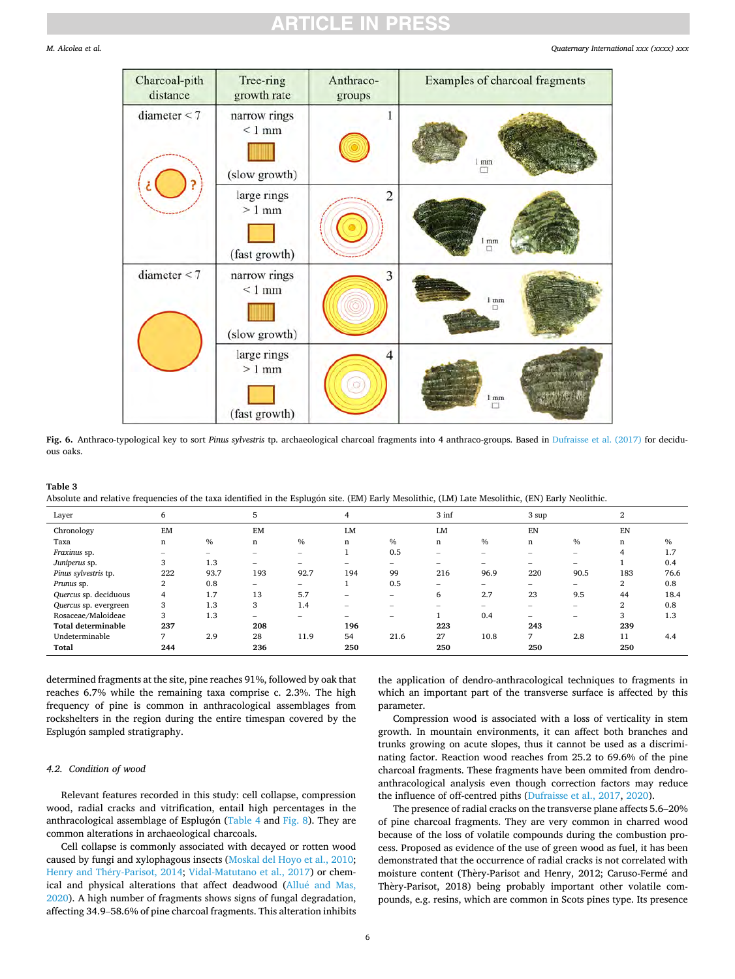# **TICLE IN**

*Quaternary International xxx (xxxx) xxx*

<span id="page-5-0"></span>

**Fig. 6.** Anthraco-typological key to sort *Pinus sylvestris* tp. archaeological charcoal fragments into 4 anthraco-groups. Based in [Dufraisse et al. \(2017\)](#page-12-0) for deciduous oaks.

### **Table 3**

Absolute and relative frequencies of the taxa identified in the Esplugón site. (EM) Early Mesolithic, (LM) Late Mesolithic, (EN) Early Neolithic.

| Layer                     | 6                        |                          | 5                        |      | 4   |                          | $3$ inf                  |                          | 3 sup                    |                          | 2              |      |
|---------------------------|--------------------------|--------------------------|--------------------------|------|-----|--------------------------|--------------------------|--------------------------|--------------------------|--------------------------|----------------|------|
| Chronology                | EM                       |                          | EM                       |      | LM  |                          | LM                       |                          | EN                       |                          | EN             |      |
| Taxa                      | n                        | $\%$                     | n                        | $\%$ | n   | $\%$                     | n                        | $\%$                     | n                        | $\%$                     | n              | $\%$ |
| Fraxinus sp.              | $\overline{\phantom{a}}$ | $\overline{\phantom{a}}$ | $\overline{\phantom{a}}$ | -    |     | 0.5                      |                          | $\overline{\phantom{a}}$ | $\overline{\phantom{a}}$ | $\overline{\phantom{a}}$ | 4              | 1.7  |
| Juniperus sp.             | 3                        | 1.3                      | $\overline{\phantom{a}}$ | -    | -   | $\overline{\phantom{a}}$ |                          | $\overline{\phantom{a}}$ | $\overline{\phantom{a}}$ | $\overline{\phantom{a}}$ |                | 0.4  |
| Pinus sylvestris tp.      | 222                      | 93.7                     | 193                      | 92.7 | 194 | 99                       | 216                      | 96.9                     | 220                      | 90.5                     | 183            | 76.6 |
| Prunus sp.                | $\overline{2}$           | 0.8                      | $\qquad \qquad$          | -    |     | 0.5                      | $\overline{\phantom{a}}$ | $\overline{\phantom{a}}$ | $\hspace{0.05cm}$        | $\overline{\phantom{a}}$ | $\overline{2}$ | 0.8  |
| Quercus sp. deciduous     | 4                        | 1.7                      | 13                       | 5.7  | -   |                          | 6                        | 2.7                      | 23                       | 9.5                      | 44             | 18.4 |
| Quercus sp. evergreen     | 3                        | 1.3                      | 3                        | 1.4  | -   |                          |                          |                          | $\overline{\phantom{a}}$ | $\overline{\phantom{a}}$ | $\overline{2}$ | 0.8  |
| Rosaceae/Maloideae        | 3                        | 1.3                      |                          | -    |     | -                        |                          | 0.4                      | $\overline{\phantom{a}}$ |                          | 3              | 1.3  |
| <b>Total determinable</b> | 237                      |                          | 208                      |      | 196 |                          | 223                      |                          | 243                      |                          | 239            |      |
| Undeterminable            |                          | 2.9                      | 28                       | 11.9 | 54  | 21.6                     | 27                       | 10.8                     | 7                        | 2.8                      | 11             | 4.4  |
| Total                     | 244                      |                          | 236                      |      | 250 |                          | 250                      |                          | 250                      |                          | 250            |      |

determined fragments at the site, pine reaches 91%, followed by oak that reaches 6.7% while the remaining taxa comprise c. 2.3%. The high frequency of pine is common in anthracological assemblages from rockshelters in the region during the entire timespan covered by the Esplugón sampled stratigraphy.

### *4.2. Condition of wood*

Relevant features recorded in this study: cell collapse, compression wood, radial cracks and vitrification, entail high percentages in the anthracological assemblage of Esplugón ([Table 4](#page-6-0) and [Fig. 8\)](#page-7-0). They are common alterations in archaeological charcoals.

Cell collapse is commonly associated with decayed or rotten wood caused by fungi and xylophagous insects [\(Moskal del Hoyo et al., 2010](#page-12-0); Henry and Théry-Parisot, 2014; [Vidal-Matutano et al., 2017](#page-13-0)) or chemical and physical alterations that affect deadwood (Allué and Mas, [2020\)](#page-11-0). A high number of fragments shows signs of fungal degradation, affecting 34.9–58.6% of pine charcoal fragments. This alteration inhibits

the application of dendro-anthracological techniques to fragments in which an important part of the transverse surface is affected by this parameter.

Compression wood is associated with a loss of verticality in stem growth. In mountain environments, it can affect both branches and trunks growing on acute slopes, thus it cannot be used as a discriminating factor. Reaction wood reaches from 25.2 to 69.6% of the pine charcoal fragments. These fragments have been ommited from dendroanthracological analysis even though correction factors may reduce the influence of off-centred piths ([Dufraisse et al., 2017](#page-12-0), [2020\)](#page-12-0).

The presence of radial cracks on the transverse plane affects 5.6–20% of pine charcoal fragments. They are very common in charred wood because of the loss of volatile compounds during the combustion process. Proposed as evidence of the use of green wood as fuel, it has been demonstrated that the occurrence of radial cracks is not correlated with moisture content (Thèry-Parisot and Henry, 2012; Caruso-Fermé and Thèry-Parisot, 2018) being probably important other volatile compounds, e.g. resins, which are common in Scots pines type. Its presence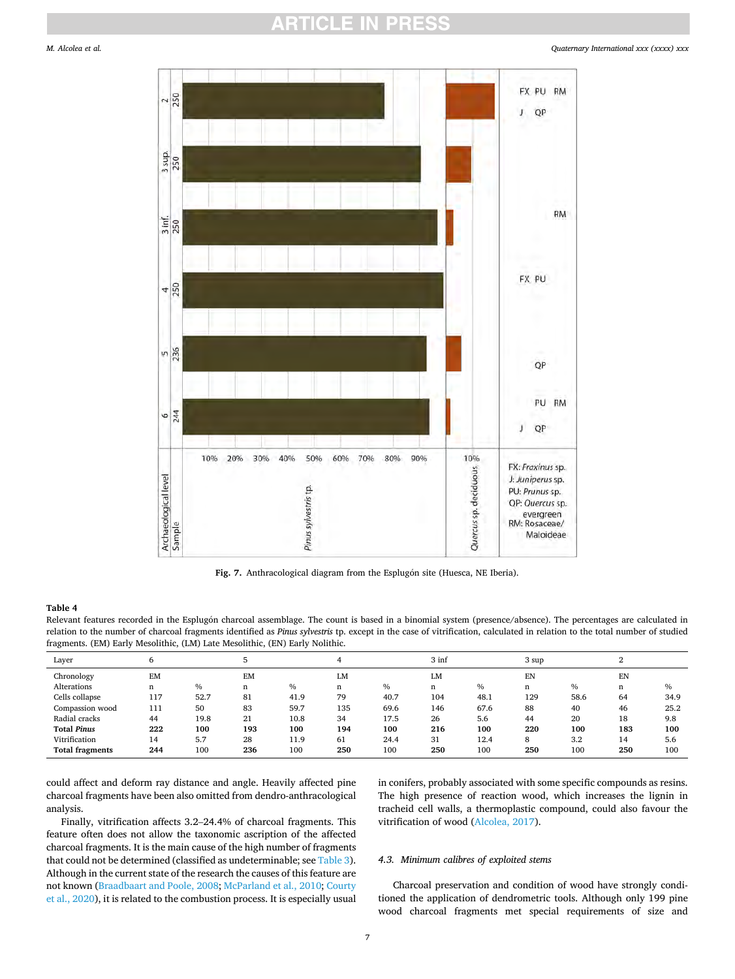<span id="page-6-0"></span>

Fig. 7. Anthracological diagram from the Esplugón site (Huesca, NE Iberia).

### **Table 4**

Relevant features recorded in the Esplugón charcoal assemblage. The count is based in a binomial system (presence/absence). The percentages are calculated in relation to the number of charcoal fragments identified as *Pinus sylvestris* tp. except in the case of vitrification, calculated in relation to the total number of studied fragments. (EM) Early Mesolithic, (LM) Late Mesolithic, (EN) Early Nolithic.

| Layer                  | 6   |      |     |               |     |      | 3 inf |               | 3 sup |      |     |      |
|------------------------|-----|------|-----|---------------|-----|------|-------|---------------|-------|------|-----|------|
| Chronology             | EM  |      | EM  |               | LM  |      | LM    |               | EN    |      | EN  |      |
| Alterations            | n   | $\%$ | n   | $\frac{0}{0}$ | n   | %    | n     | $\frac{0}{0}$ | n     | $\%$ | n   | $\%$ |
| Cells collapse         | 117 | 52.7 | 81  | 41.9          | 79  | 40.7 | 104   | 48.1          | 129   | 58.6 | 64  | 34.9 |
| Compassion wood        | 111 | 50   | 83  | 59.7          | 135 | 69.6 | 146   | 67.6          | 88    | 40   | 46  | 25.2 |
| Radial cracks          | 44  | 19.8 | 21  | 10.8          | 34  | 17.5 | 26    | 5.6           | 44    | 20   | 18  | 9.8  |
| <b>Total Pinus</b>     | 222 | 100  | 193 | 100           | 194 | 100  | 216   | 100           | 220   | 100  | 183 | 100  |
| Vitrification          | 14  | 5.7  | 28  | 11.9          | 61  | 24.4 | 31    | 12.4          | 8     | 3.2  | 14  | 5.6  |
| <b>Total fragments</b> | 244 | 100  | 236 | 100           | 250 | 100  | 250   | 100           | 250   | 100  | 250 | 100  |

could affect and deform ray distance and angle. Heavily affected pine charcoal fragments have been also omitted from dendro-anthracological analysis.

Finally, vitrification affects 3.2–24.4% of charcoal fragments. This feature often does not allow the taxonomic ascription of the affected charcoal fragments. It is the main cause of the high number of fragments that could not be determined (classified as undeterminable; see [Table 3](#page-5-0)). Although in the current state of the research the causes of this feature are not known ([Braadbaart and Poole, 2008](#page-12-0); [McParland et al., 2010; Courty](#page-12-0)  [et al., 2020\)](#page-12-0), it is related to the combustion process. It is especially usual in conifers, probably associated with some specific compounds as resins. The high presence of reaction wood, which increases the lignin in tracheid cell walls, a thermoplastic compound, could also favour the vitrification of wood ([Alcolea, 2017](#page-11-0)).

### *4.3. Minimum calibres of exploited stems*

Charcoal preservation and condition of wood have strongly conditioned the application of dendrometric tools. Although only 199 pine wood charcoal fragments met special requirements of size and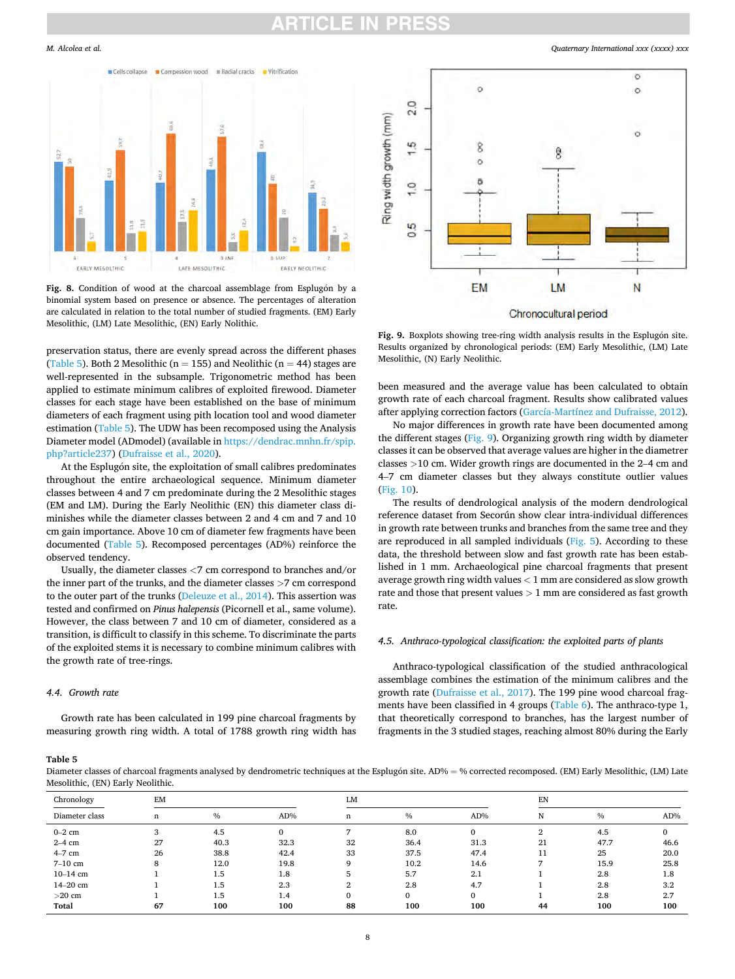<span id="page-7-0"></span>

Fig. 8. Condition of wood at the charcoal assemblage from Esplugon by a binomial system based on presence or absence. The percentages of alteration are calculated in relation to the total number of studied fragments. (EM) Early Mesolithic, (LM) Late Mesolithic, (EN) Early Nolithic.

preservation status, there are evenly spread across the different phases (Table 5). Both 2 Mesolithic ( $n = 155$ ) and Neolithic ( $n = 44$ ) stages are well-represented in the subsample. Trigonometric method has been applied to estimate minimum calibres of exploited firewood. Diameter classes for each stage have been established on the base of minimum diameters of each fragment using pith location tool and wood diameter estimation (Table 5). The UDW has been recomposed using the Analysis Diameter model (ADmodel) (available in [https://dendrac.mnhn.fr/spip.](https://dendrac.mnhn.fr/spip.php?article237)  [php?article237\)](https://dendrac.mnhn.fr/spip.php?article237) [\(Dufraisse et al., 2020](#page-12-0)).

At the Esplugón site, the exploitation of small calibres predominates throughout the entire archaeological sequence. Minimum diameter classes between 4 and 7 cm predominate during the 2 Mesolithic stages (EM and LM). During the Early Neolithic (EN) this diameter class diminishes while the diameter classes between 2 and 4 cm and 7 and 10 cm gain importance. Above 10 cm of diameter few fragments have been documented (Table 5). Recomposed percentages (AD%) reinforce the observed tendency.

Usually, the diameter classes *<*7 cm correspond to branches and/or the inner part of the trunks, and the diameter classes *>*7 cm correspond to the outer part of the trunks [\(Deleuze et al., 2014](#page-12-0)). This assertion was tested and confirmed on *Pinus halepensis* (Picornell et al., same volume). However, the class between 7 and 10 cm of diameter, considered as a transition, is difficult to classify in this scheme. To discriminate the parts of the exploited stems it is necessary to combine minimum calibres with the growth rate of tree-rings.

### *4.4. Growth rate*

Growth rate has been calculated in 199 pine charcoal fragments by measuring growth ring width. A total of 1788 growth ring width has





Fig. 9. Boxplots showing tree-ring width analysis results in the Esplugón site. Results organized by chronological periods: (EM) Early Mesolithic, (LM) Late Mesolithic, (N) Early Neolithic.

been measured and the average value has been calculated to obtain growth rate of each charcoal fragment. Results show calibrated values after applying correction factors ([García-Martínez and Dufraisse, 2012](#page-12-0)).

No major differences in growth rate have been documented among the different stages (Fig. 9). Organizing growth ring width by diameter classes it can be observed that average values are higher in the diametrer classes *>*10 cm. Wider growth rings are documented in the 2–4 cm and 4–7 cm diameter classes but they always constitute outlier values ([Fig. 10](#page-8-0)).

The results of dendrological analysis of the modern dendrological reference dataset from Secorún show clear intra-individual differences in growth rate between trunks and branches from the same tree and they are reproduced in all sampled individuals [\(Fig. 5\)](#page-4-0). According to these data, the threshold between slow and fast growth rate has been established in 1 mm. Archaeological pine charcoal fragments that present average growth ring width values *<* 1 mm are considered as slow growth rate and those that present values *>* 1 mm are considered as fast growth rate.

# *4.5. Anthraco-typological classification: the exploited parts of plants*

Anthraco-typological classification of the studied anthracological assemblage combines the estimation of the minimum calibres and the growth rate ([Dufraisse et al., 2017](#page-12-0)). The 199 pine wood charcoal fragments have been classified in 4 groups [\(Table 6\)](#page-8-0). The anthraco-type 1, that theoretically correspond to branches, has the largest number of fragments in the 3 studied stages, reaching almost 80% during the Early

### **Table 5**

Diameter classes of charcoal fragments analysed by dendrometric techniques at the Esplugón site. AD% = % corrected recomposed. (EM) Early Mesolithic, (LM) Late Mesolithic, (EN) Early Neolithic.

| EM<br>Chronology |    |      |      | LM       |              |          | EN             |      |          |
|------------------|----|------|------|----------|--------------|----------|----------------|------|----------|
| Diameter class   | n  | $\%$ | AD%  | n        | $\%$         | $AD\%$   | N              | $\%$ | AD%      |
| $0-2$ cm         | 3  | 4.5  |      |          | 8.0          | $\Omega$ |                | 4.5  | $\Omega$ |
| $2-4$ cm         | 27 | 40.3 | 32.3 | 32       | 36.4         | 31.3     | 21             | 47.7 | 46.6     |
| $4-7$ cm         | 26 | 38.8 | 42.4 | 33       | 37.5         | 47.4     | 11             | 25   | 20.0     |
| $7-10$ cm        | 8  | 12.0 | 19.8 | q        | 10.2         | 14.6     | $\overline{ }$ | 15.9 | 25.8     |
| $10 - 14$ cm     |    | 1.5  | 1.8  | 5        | 5.7          | 2.1      |                | 2.8  | 1.8      |
| $14 - 20$ cm     |    | 1.5  | 2.3  | $\Omega$ | 2.8          | 4.7      |                | 2.8  | 3.2      |
| $>20$ cm         |    | 1.5  | 1.4  | $\Omega$ | $\mathbf{0}$ | 0        |                | 2.8  | 2.7      |
| Total            | 67 | 100  | 100  | 88       | 100          | 100      | 44             | 100  | 100      |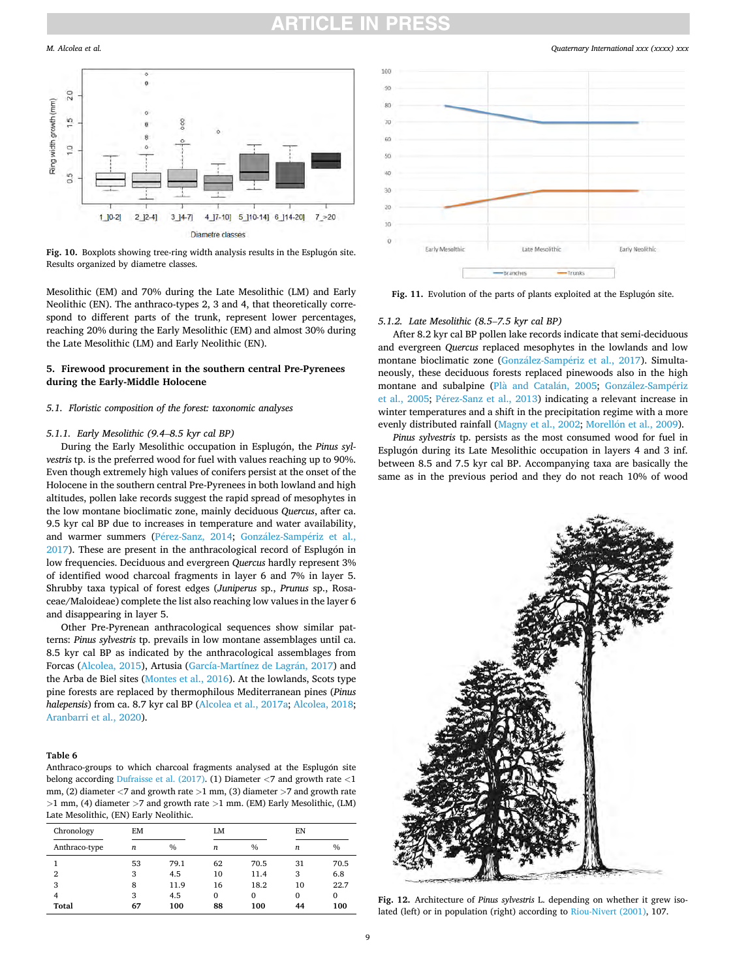# TICI E IN

<span id="page-8-0"></span>*M. Alcolea et al.* 



Fig. 10. Boxplots showing tree-ring width analysis results in the Esplugón site. Results organized by diametre classes.

Mesolithic (EM) and 70% during the Late Mesolithic (LM) and Early Neolithic (EN). The anthraco-types 2, 3 and 4, that theoretically correspond to different parts of the trunk, represent lower percentages, reaching 20% during the Early Mesolithic (EM) and almost 30% during the Late Mesolithic (LM) and Early Neolithic (EN).

### **5. Firewood procurement in the southern central Pre-Pyrenees during the Early-Middle Holocene**

### *5.1. Floristic composition of the forest: taxonomic analyses*

### *5.1.1. Early Mesolithic (9.4*–*8.5 kyr cal BP)*

During the Early Mesolithic occupation in Esplugón, the *Pinus sylvestris* tp. is the preferred wood for fuel with values reaching up to 90%. Even though extremely high values of conifers persist at the onset of the Holocene in the southern central Pre-Pyrenees in both lowland and high altitudes, pollen lake records suggest the rapid spread of mesophytes in the low montane bioclimatic zone, mainly deciduous *Quercus*, after ca. 9.5 kyr cal BP due to increases in temperature and water availability, and warmer summers (Pérez-Sanz, 2014; González-Sampériz et al.,  $2017$ ). These are present in the anthracological record of Esplugón in low frequencies. Deciduous and evergreen *Quercus* hardly represent 3% of identified wood charcoal fragments in layer 6 and 7% in layer 5. Shrubby taxa typical of forest edges (*Juniperus* sp., *Prunus* sp., Rosaceae/Maloideae) complete the list also reaching low values in the layer 6 and disappearing in layer 5.

Other Pre-Pyrenean anthracological sequences show similar patterns: *Pinus sylvestris* tp. prevails in low montane assemblages until ca. 8.5 kyr cal BP as indicated by the anthracological assemblages from Forcas ([Alcolea, 2015\)](#page-11-0), Artusia (García-Martínez de Lagrán, 2017) and the Arba de Biel sites ([Montes et al., 2016](#page-12-0)). At the lowlands, Scots type pine forests are replaced by thermophilous Mediterranean pines (*Pinus halepensis*) from ca. 8.7 kyr cal BP ([Alcolea et al., 2017a; Alcolea, 2018](#page-11-0); [Aranbarri et al., 2020](#page-11-0)).

### **Table 6**

Anthraco-groups to which charcoal fragments analysed at the Esplugón site belong according [Dufraisse et al. \(2017\)](#page-12-0). (1) Diameter *<*7 and growth rate *<*1 mm, (2) diameter *<*7 and growth rate *>*1 mm, (3) diameter *>*7 and growth rate *>*1 mm, (4) diameter *>*7 and growth rate *>*1 mm. (EM) Early Mesolithic, (LM) Late Mesolithic, (EN) Early Neolithic.

| Chronology    | EM               |               | LM               |               | EN               |      |  |
|---------------|------------------|---------------|------------------|---------------|------------------|------|--|
| Anthraco-type | $\boldsymbol{n}$ | $\frac{0}{0}$ | $\boldsymbol{n}$ | $\frac{0}{0}$ | $\boldsymbol{n}$ | $\%$ |  |
|               | 53               | 79.1          | 62               | 70.5          | 31               | 70.5 |  |
| 2             | 3                | 4.5           | 10               | 11.4          | 3                | 6.8  |  |
| 3             | 8                | 11.9          | 16               | 18.2          | 10               | 22.7 |  |
| 4             | 3                | 4.5           | $\Omega$         | 0             | 0                | 0    |  |
| <b>Total</b>  | 67               | 100           | 88               | 100           | 44               | 100  |  |



Fig. 11. Evolution of the parts of plants exploited at the Esplugon site.

### *5.1.2. Late Mesolithic (8.5*–*7.5 kyr cal BP)*

After 8.2 kyr cal BP pollen lake records indicate that semi-deciduous and evergreen *Quercus* replaced mesophytes in the lowlands and low montane bioclimatic zone (González-Sampériz et al., 2017). Simultaneously, these deciduous forests replaced pinewoods also in the high montane and subalpine (Plà and Catalán, 2005; González-Sampériz [et al., 2005](#page-12-0); Pérez-Sanz et al., 2013) indicating a relevant increase in winter temperatures and a shift in the precipitation regime with a more evenly distributed rainfall ([Magny et al., 2002](#page-12-0); Morellón et al., 2009).

*Pinus sylvestris* tp. persists as the most consumed wood for fuel in Esplugón during its Late Mesolithic occupation in layers 4 and 3 inf. between 8.5 and 7.5 kyr cal BP. Accompanying taxa are basically the same as in the previous period and they do not reach 10% of wood



**Fig. 12.** Architecture of *Pinus sylvestris* L. depending on whether it grew isolated (left) or in population (right) according to [Riou-Nivert \(2001\),](#page-13-0) 107.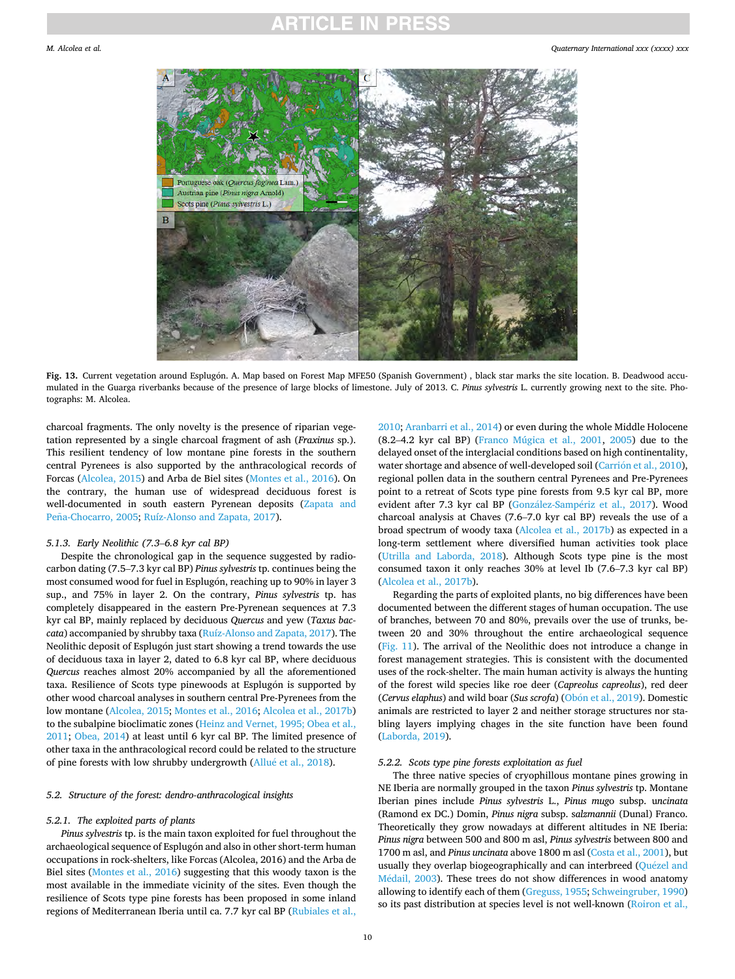<span id="page-9-0"></span>

Fig. 13. Current vegetation around Esplugón. A. Map based on Forest Map MFE50 (Spanish Government), black star marks the site location. B. Deadwood accumulated in the Guarga riverbanks because of the presence of large blocks of limestone. July of 2013. C. *Pinus sylvestris* L. currently growing next to the site. Photographs: M. Alcolea.

charcoal fragments. The only novelty is the presence of riparian vegetation represented by a single charcoal fragment of ash (*Fraxinus* sp.). This resilient tendency of low montane pine forests in the southern central Pyrenees is also supported by the anthracological records of Forcas ([Alcolea, 2015](#page-11-0)) and Arba de Biel sites [\(Montes et al., 2016\)](#page-12-0). On the contrary, the human use of widespread deciduous forest is well-documented in south eastern Pyrenean deposits [\(Zapata and](#page-13-0)  Peña-Chocarro, 2005; [Ruíz-Alonso and Zapata, 2017](#page-13-0)).

# *5.1.3. Early Neolithic (7.3*–*6.8 kyr cal BP)*

Despite the chronological gap in the sequence suggested by radiocarbon dating (7.5–7.3 kyr cal BP) *Pinus sylvestris* tp. continues being the most consumed wood for fuel in Esplugón, reaching up to 90% in layer 3 sup., and 75% in layer 2. On the contrary, *Pinus sylvestris* tp. has completely disappeared in the eastern Pre-Pyrenean sequences at 7.3 kyr cal BP, mainly replaced by deciduous *Quercus* and yew (*Taxus baccata*) accompanied by shrubby taxa [\(Ruíz-Alonso and Zapata, 2017\)](#page-13-0). The Neolithic deposit of Esplugón just start showing a trend towards the use of deciduous taxa in layer 2, dated to 6.8 kyr cal BP, where deciduous *Quercus* reaches almost 20% accompanied by all the aforementioned taxa. Resilience of Scots type pinewoods at Esplugón is supported by other wood charcoal analyses in southern central Pre-Pyrenees from the low montane ([Alcolea, 2015](#page-11-0); [Montes et al., 2016;](#page-12-0) [Alcolea et al., 2017b\)](#page-11-0) to the subalpine bioclimatic zones ([Heinz and Vernet, 1995; Obea et al.,](#page-12-0)  [2011;](#page-12-0) [Obea, 2014\)](#page-12-0) at least until 6 kyr cal BP. The limited presence of other taxa in the anthracological record could be related to the structure of pine forests with low shrubby undergrowth (Allué et al., 2018).

### *5.2. Structure of the forest: dendro-anthracological insights*

### *5.2.1. The exploited parts of plants*

*Pinus sylvestris* tp. is the main taxon exploited for fuel throughout the archaeological sequence of Esplugón and also in other short-term human occupations in rock-shelters, like Forcas (Alcolea, 2016) and the Arba de Biel sites ([Montes et al., 2016\)](#page-12-0) suggesting that this woody taxon is the most available in the immediate vicinity of the sites. Even though the resilience of Scots type pine forests has been proposed in some inland regions of Mediterranean Iberia until ca. 7.7 kyr cal BP ([Rubiales et al.,](#page-13-0) 

[2010;](#page-13-0) [Aranbarri et al., 2014\)](#page-11-0) or even during the whole Middle Holocene (8.2–4.2 kyr cal BP) [\(Franco Múgica et al., 2001](#page-12-0), [2005](#page-12-0)) due to the delayed onset of the interglacial conditions based on high continentality, water shortage and absence of well-developed soil (Carrión et al., 2010), regional pollen data in the southern central Pyrenees and Pre-Pyrenees point to a retreat of Scots type pine forests from 9.5 kyr cal BP, more evident after 7.3 kyr cal BP (González-Sampériz et al., 2017). Wood charcoal analysis at Chaves (7.6–7.0 kyr cal BP) reveals the use of a broad spectrum of woody taxa ([Alcolea et al., 2017b\)](#page-11-0) as expected in a long-term settlement where diversified human activities took place ([Utrilla and Laborda, 2018](#page-13-0)). Although Scots type pine is the most consumed taxon it only reaches 30% at level Ib (7.6–7.3 kyr cal BP) ([Alcolea et al., 2017b\)](#page-11-0).

Regarding the parts of exploited plants, no big differences have been documented between the different stages of human occupation. The use of branches, between 70 and 80%, prevails over the use of trunks, between 20 and 30% throughout the entire archaeological sequence ([Fig. 11\)](#page-8-0). The arrival of the Neolithic does not introduce a change in forest management strategies. This is consistent with the documented uses of the rock-shelter. The main human activity is always the hunting of the forest wild species like roe deer (*Capreolus capreolus*), red deer (*Cervus elaphus*) and wild boar (*Sus scrofa*) ([Obon et al., 2019](#page-12-0)). Domestic animals are restricted to layer 2 and neither storage structures nor stabling layers implying chages in the site function have been found ([Laborda, 2019\)](#page-12-0).

### *5.2.2. Scots type pine forests exploitation as fuel*

The three native species of cryophillous montane pines growing in NE Iberia are normally grouped in the taxon *Pinus sylvestris* tp. Montane Iberian pines include *Pinus sylvestris* L., *Pinus mug*o subsp. u*ncinata*  (Ramond ex DC.) Domin, *Pinus nigra* subsp. s*alzmannii* (Dunal) Franco. Theoretically they grow nowadays at different altitudes in NE Iberia: *Pinus nigra* between 500 and 800 m asl, *Pinus sylvestris* between 800 and 1700 m asl, and *Pinus uncinata* above 1800 m asl ([Costa et al., 2001](#page-12-0)), but usually they overlap biogeographically and can interbreed (Quézel and Médail, 2003). These trees do not show differences in wood anatomy allowing to identify each of them [\(Greguss, 1955;](#page-12-0) [Schweingruber, 1990\)](#page-13-0) so its past distribution at species level is not well-known ([Roiron et al.,](#page-13-0)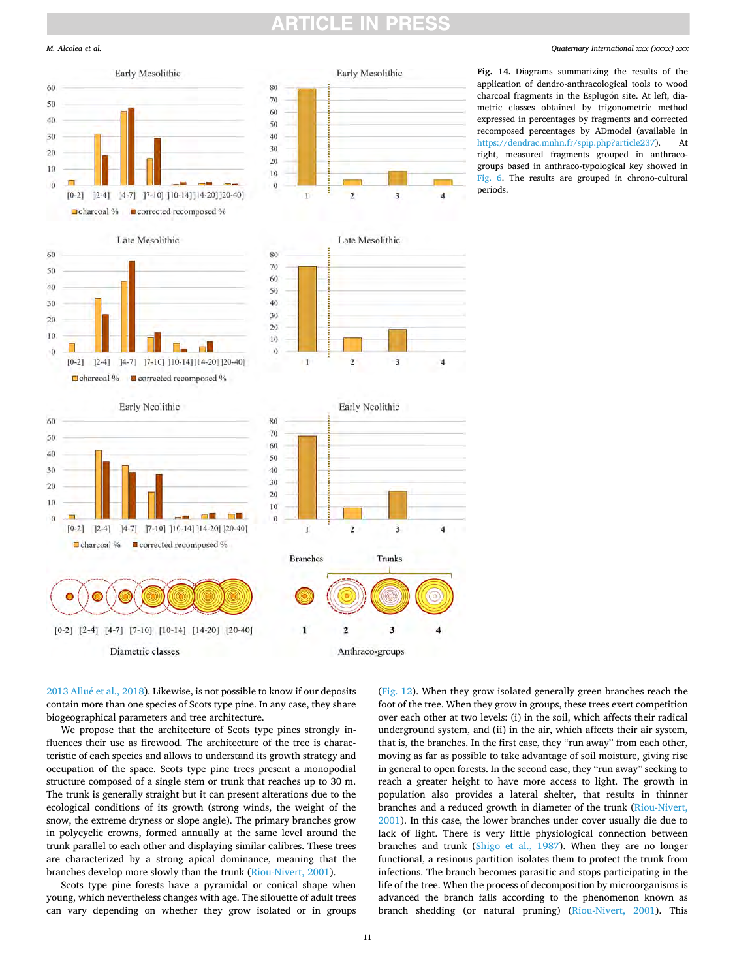<span id="page-10-0"></span>*M. Alcolea et al.* 

60

 $5($ 

40

30

 $\dot{20}$ 

10

 $\dot{0}$ 

Dcharcoal<sup>96</sup>

### *Quaternary International xxx (xxxx) xxx*





 $[0-2]$   $[2-4]$   $[4-7]$   $[7-10]$   $[10-14]$   $[14-20]$   $[20-40]$ 

**a** corrected recomposed %



**Fig. 14.** Diagrams summarizing the results of the application of dendro-anthracological tools to wood charcoal fragments in the Esplugón site. At left, diametric classes obtained by trigonometric method expressed in percentages by fragments and corrected recomposed percentages by ADmodel (available in <https://dendrac.mnhn.fr/spip.php?article237>). At right, measured fragments grouped in anthracogroups based in anthraco-typological key showed in [Fig. 6.](#page-5-0) The results are grouped in chrono-cultural periods.





[2013](#page-13-0) Allué et al., 2018). Likewise, is not possible to know if our deposits contain more than one species of Scots type pine. In any case, they share biogeographical parameters and tree architecture.

We propose that the architecture of Scots type pines strongly influences their use as firewood. The architecture of the tree is characteristic of each species and allows to understand its growth strategy and occupation of the space. Scots type pine trees present a monopodial structure composed of a single stem or trunk that reaches up to 30 m. The trunk is generally straight but it can present alterations due to the ecological conditions of its growth (strong winds, the weight of the snow, the extreme dryness or slope angle). The primary branches grow in polycyclic crowns, formed annually at the same level around the trunk parallel to each other and displaying similar calibres. These trees are characterized by a strong apical dominance, meaning that the branches develop more slowly than the trunk ([Riou-Nivert, 2001](#page-13-0)).

Scots type pine forests have a pyramidal or conical shape when young, which nevertheless changes with age. The silouette of adult trees can vary depending on whether they grow isolated or in groups ([Fig. 12](#page-8-0)). When they grow isolated generally green branches reach the foot of the tree. When they grow in groups, these trees exert competition over each other at two levels: (i) in the soil, which affects their radical underground system, and (ii) in the air, which affects their air system, that is, the branches. In the first case, they "run away" from each other, moving as far as possible to take advantage of soil moisture, giving rise in general to open forests. In the second case, they "run away" seeking to reach a greater height to have more access to light. The growth in population also provides a lateral shelter, that results in thinner branches and a reduced growth in diameter of the trunk [\(Riou-Nivert,](#page-13-0)  [2001\)](#page-13-0). In this case, the lower branches under cover usually die due to lack of light. There is very little physiological connection between branches and trunk ([Shigo et al., 1987](#page-13-0)). When they are no longer functional, a resinous partition isolates them to protect the trunk from infections. The branch becomes parasitic and stops participating in the life of the tree. When the process of decomposition by microorganisms is advanced the branch falls according to the phenomenon known as branch shedding (or natural pruning) ([Riou-Nivert, 2001](#page-13-0)). This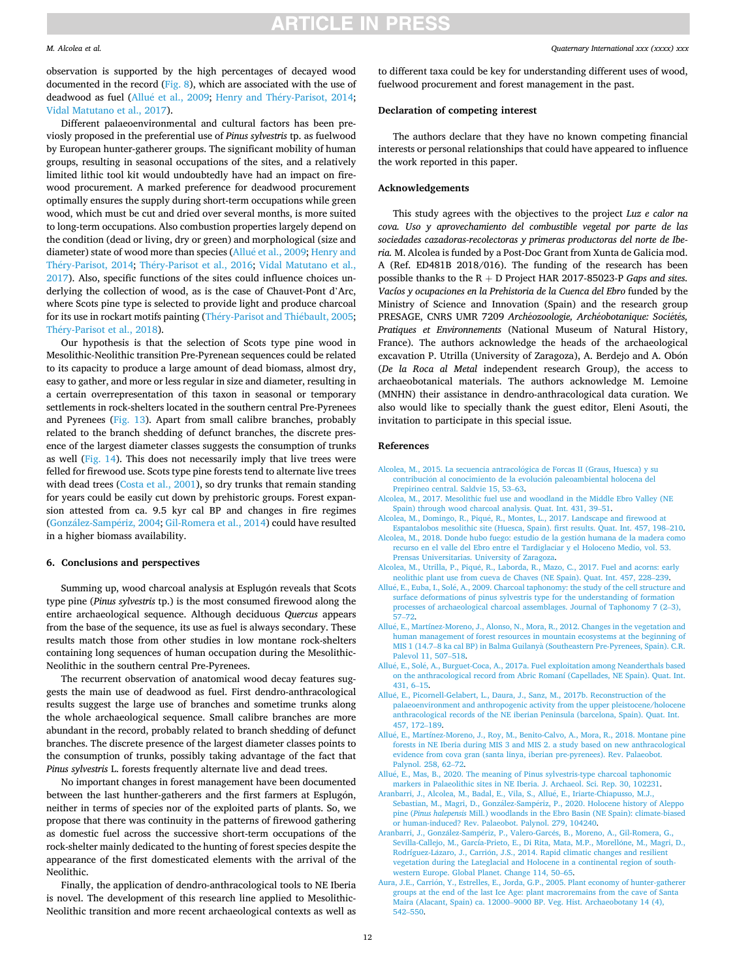# **ARTICLE IN PRESS**

### <span id="page-11-0"></span>*M. Alcolea et al.*

observation is supported by the high percentages of decayed wood documented in the record ([Fig. 8\)](#page-7-0), which are associated with the use of deadwood as fuel (Allué et al., 2009; Henry and Théry-Parisot, 2014; [Vidal Matutano et al., 2017](#page-13-0)).

Different palaeoenvironmental and cultural factors has been previosly proposed in the preferential use of *Pinus sylvestris* tp. as fuelwood by European hunter-gatherer groups. The significant mobility of human groups, resulting in seasonal occupations of the sites, and a relatively limited lithic tool kit would undoubtedly have had an impact on firewood procurement. A marked preference for deadwood procurement optimally ensures the supply during short-term occupations while green wood, which must be cut and dried over several months, is more suited to long-term occupations. Also combustion properties largely depend on the condition (dead or living, dry or green) and morphological (size and diameter) state of wood more than species (Allué et al., 2009; Henry and Théry-Parisot, 2014; Théry-Parisot et al., 2016; Vidal Matutano et al., [2017\)](#page-13-0). Also, specific functions of the sites could influence choices underlying the collection of wood, as is the case of Chauvet-Pont d'Arc, where Scots pine type is selected to provide light and produce charcoal for its use in rockart motifs painting (Théry-Parisot and Thiébault, 2005; Théry-Parisot et al., 2018).

Our hypothesis is that the selection of Scots type pine wood in Mesolithic-Neolithic transition Pre-Pyrenean sequences could be related to its capacity to produce a large amount of dead biomass, almost dry, easy to gather, and more or less regular in size and diameter, resulting in a certain overrepresentation of this taxon in seasonal or temporary settlements in rock-shelters located in the southern central Pre-Pyrenees and Pyrenees [\(Fig. 13\)](#page-9-0). Apart from small calibre branches, probably related to the branch shedding of defunct branches, the discrete presence of the largest diameter classes suggests the consumption of trunks as well ([Fig. 14\)](#page-10-0). This does not necessarily imply that live trees were felled for firewood use. Scots type pine forests tend to alternate live trees with dead trees [\(Costa et al., 2001\)](#page-12-0), so dry trunks that remain standing for years could be easily cut down by prehistoric groups. Forest expansion attested from ca. 9.5 kyr cal BP and changes in fire regimes (González-Sampériz, 2004; [Gil-Romera et al., 2014](#page-12-0)) could have resulted in a higher biomass availability.

### **6. Conclusions and perspectives**

Summing up, wood charcoal analysis at Esplugón reveals that Scots type pine (*Pinus sylvestris* tp.) is the most consumed firewood along the entire archaeological sequence. Although deciduous *Quercus* appears from the base of the sequence, its use as fuel is always secondary. These results match those from other studies in low montane rock-shelters containing long sequences of human occupation during the Mesolithic-Neolithic in the southern central Pre-Pyrenees.

The recurrent observation of anatomical wood decay features suggests the main use of deadwood as fuel. First dendro-anthracological results suggest the large use of branches and sometime trunks along the whole archaeological sequence. Small calibre branches are more abundant in the record, probably related to branch shedding of defunct branches. The discrete presence of the largest diameter classes points to the consumption of trunks, possibly taking advantage of the fact that *Pinus sylvestris* L. forests frequently alternate live and dead trees.

No important changes in forest management have been documented between the last hunther-gatherers and the first farmers at Esplugón, neither in terms of species nor of the exploited parts of plants. So, we propose that there was continuity in the patterns of firewood gathering as domestic fuel across the successive short-term occupations of the rock-shelter mainly dedicated to the hunting of forest species despite the appearance of the first domesticated elements with the arrival of the Neolithic.

Finally, the application of dendro-anthracological tools to NE Iberia is novel. The development of this research line applied to Mesolithic-Neolithic transition and more recent archaeological contexts as well as

to different taxa could be key for understanding different uses of wood, fuelwood procurement and forest management in the past.

### **Declaration of competing interest**

The authors declare that they have no known competing financial interests or personal relationships that could have appeared to influence the work reported in this paper.

### **Acknowledgements**

This study agrees with the objectives to the project *Luz e calor na cova. Uso y aprovechamiento del combustible vegetal por parte de las sociedades cazadoras-recolectoras y primeras productoras del norte de Iberia.* M. Alcolea is funded by a Post-Doc Grant from Xunta de Galicia mod. A (Ref. ED481B 2018/016). The funding of the research has been possible thanks to the R + D Project HAR 2017-85023-P *Gaps and sites. Vacíos y ocupaciones en la Prehistoria de la Cuenca del Ebro* funded by the Ministry of Science and Innovation (Spain) and the research group PRESAGE, CNRS UMR 7209 *Arch*´*eozoologie, Arch*´*eobotanique: Soci*´*et*´*es, Pratiques et Environnements* (National Museum of Natural History, France). The authors acknowledge the heads of the archaeological excavation P. Utrilla (University of Zaragoza), A. Berdejo and A. Obón (*De la Roca al Metal* independent research Group), the access to archaeobotanical materials. The authors acknowledge M. Lemoine (MNHN) their assistance in dendro-anthracological data curation. We also would like to specially thank the guest editor, Eleni Asouti, the invitation to participate in this special issue.

### **References**

- Alcolea, M., 2015. La secuencia antracológica de Forcas II (Graus, Huesca) y su contribución al conocimiento de la evolución paleoambiental holocena del [Prepirineo central. Saldvie 15, 53](http://refhub.elsevier.com/S1040-6182(20)30655-8/sref1)–63.
- [Alcolea, M., 2017. Mesolithic fuel use and woodland in the Middle Ebro Valley \(NE](http://refhub.elsevier.com/S1040-6182(20)30655-8/sref2)  [Spain\) through wood charcoal analysis. Quat. Int. 431, 39](http://refhub.elsevier.com/S1040-6182(20)30655-8/sref2)–51.
- Alcolea, M., Domingo, R., Piqué, R., Montes, L., 2017. Landscape and firewood at [Espantalobos mesolithic site \(Huesca, Spain\). first results. Quat. Int. 457, 198](http://refhub.elsevier.com/S1040-6182(20)30655-8/sref3)–210.
- [Alcolea, M., 2018. Donde hubo fuego: estudio de la gestion humana de la madera como](http://refhub.elsevier.com/S1040-6182(20)30655-8/sref5) ´ [recurso en el valle del Ebro entre el Tardiglaciar y el Holoceno Medio, vol. 53.](http://refhub.elsevier.com/S1040-6182(20)30655-8/sref5) [Prensas Universitarias. University of Zaragoza.](http://refhub.elsevier.com/S1040-6182(20)30655-8/sref5)
- Alcolea, M., Utrilla, P., Piqué, R., Laborda, R., Mazo, C., 2017. Fuel and acorns: early [neolithic plant use from cueva de Chaves \(NE Spain\). Quat. Int. 457, 228](http://refhub.elsevier.com/S1040-6182(20)30655-8/sref4)–239.
- Allué, E., Euba, I., Solé, A., 2009. Charcoal taphonomy: the study of the cell structure and [surface deformations of pinus sylvestris type for the understanding of formation](http://refhub.elsevier.com/S1040-6182(20)30655-8/sref6) [processes of archaeological charcoal assemblages. Journal of Taphonomy 7 \(2](http://refhub.elsevier.com/S1040-6182(20)30655-8/sref6)–3),  $57 - 72$  $57 - 72$ .
- Allué, E., Martínez-Moreno, J., Alonso, N., Mora, R., 2012. Changes in the vegetation and [human management of forest resources in mountain ecosystems at the beginning of](http://refhub.elsevier.com/S1040-6182(20)30655-8/sref7)  MIS 1 (14.7-8 ka cal BP) in Balma Guilanyà (Southeastern Pre-Pyrenees, Spain). C.R. [Palevol 11, 507](http://refhub.elsevier.com/S1040-6182(20)30655-8/sref7)–518.
- Allué, E., Solé, A., Burguet-Coca, A., 2017a. Fuel exploitation among Neanderthals based [on the anthracological record from Abric Romaní \(Capellades, NE Spain\). Quat. Int.](http://refhub.elsevier.com/S1040-6182(20)30655-8/sref8)  [431, 6](http://refhub.elsevier.com/S1040-6182(20)30655-8/sref8)–15.
- Allu´[e, E., Picornell-Gelabert, L., Daura, J., Sanz, M., 2017b. Reconstruction of the](http://refhub.elsevier.com/S1040-6182(20)30655-8/sref9)  [palaeoenvironment and anthropogenic activity from the upper pleistocene/holocene](http://refhub.elsevier.com/S1040-6182(20)30655-8/sref9)  [anthracological records of the NE iberian Peninsula \(barcelona, Spain\). Quat. Int.](http://refhub.elsevier.com/S1040-6182(20)30655-8/sref9)  [457, 172](http://refhub.elsevier.com/S1040-6182(20)30655-8/sref9)–189.
- Allu´[e, E., Martínez-Moreno, J., Roy, M., Benito-Calvo, A., Mora, R., 2018. Montane pine](http://refhub.elsevier.com/S1040-6182(20)30655-8/sref10)  [forests in NE Iberia during MIS 3 and MIS 2. a study based on new anthracological](http://refhub.elsevier.com/S1040-6182(20)30655-8/sref10)  [evidence from cova gran \(santa linya, iberian pre-pyrenees\). Rev. Palaeobot.](http://refhub.elsevier.com/S1040-6182(20)30655-8/sref10) [Palynol. 258, 62](http://refhub.elsevier.com/S1040-6182(20)30655-8/sref10)–72.
- Allu´[e, E., Mas, B., 2020. The meaning of Pinus sylvestris-type charcoal taphonomic](http://refhub.elsevier.com/S1040-6182(20)30655-8/sref11) [markers in Palaeolithic sites in NE Iberia. J. Archaeol. Sci. Rep. 30, 102231.](http://refhub.elsevier.com/S1040-6182(20)30655-8/sref11)
- [Aranbarri, J., Alcolea, M., Badal, E., Vila, S., Allu](http://refhub.elsevier.com/S1040-6182(20)30655-8/optbV21aTgAcz)´e, E., Iriarte-Chiapusso, M.J., Sebastian, M., Magri, D., González-Sampériz, P., 2020. Holocene history of Aleppo pine (*Pinus halepensis* [Mill.\) woodlands in the Ebro Basin \(NE Spain\): climate-biased](http://refhub.elsevier.com/S1040-6182(20)30655-8/optbV21aTgAcz)  [or human-induced? Rev. Palaeobot. Palynol. 279, 104240.](http://refhub.elsevier.com/S1040-6182(20)30655-8/optbV21aTgAcz)
- Aranbarri, J., González-Sampériz, P., Valero-Garcés, B., Moreno, A., Gil-Romera, G., Sevilla-Callejo, M., García-Prieto, E., Di Rita, Mata, M.P., Morellóne, M., Magri, D., Rodríguez-Lázaro, J., Carrión, J.S., 2014. Rapid climatic changes and resilient [vegetation during the Lateglacial and Holocene in a continental region of south](http://refhub.elsevier.com/S1040-6182(20)30655-8/sref12)[western Europe. Global Planet. Change 114, 50](http://refhub.elsevier.com/S1040-6182(20)30655-8/sref12)–65.
- [Aura, J.E., Carrion, Y., Estrelles, E., Jorda, G.P., 2005. Plant economy of hunter-gatherer](http://refhub.elsevier.com/S1040-6182(20)30655-8/sref13) ´ [groups at the end of the last Ice Age: plant macroremains from the cave of Santa](http://refhub.elsevier.com/S1040-6182(20)30655-8/sref13) Maira (Alacant, Spain) ca. 12000–[9000 BP. Veg. Hist. Archaeobotany 14 \(4\),](http://refhub.elsevier.com/S1040-6182(20)30655-8/sref13)  542–[550](http://refhub.elsevier.com/S1040-6182(20)30655-8/sref13).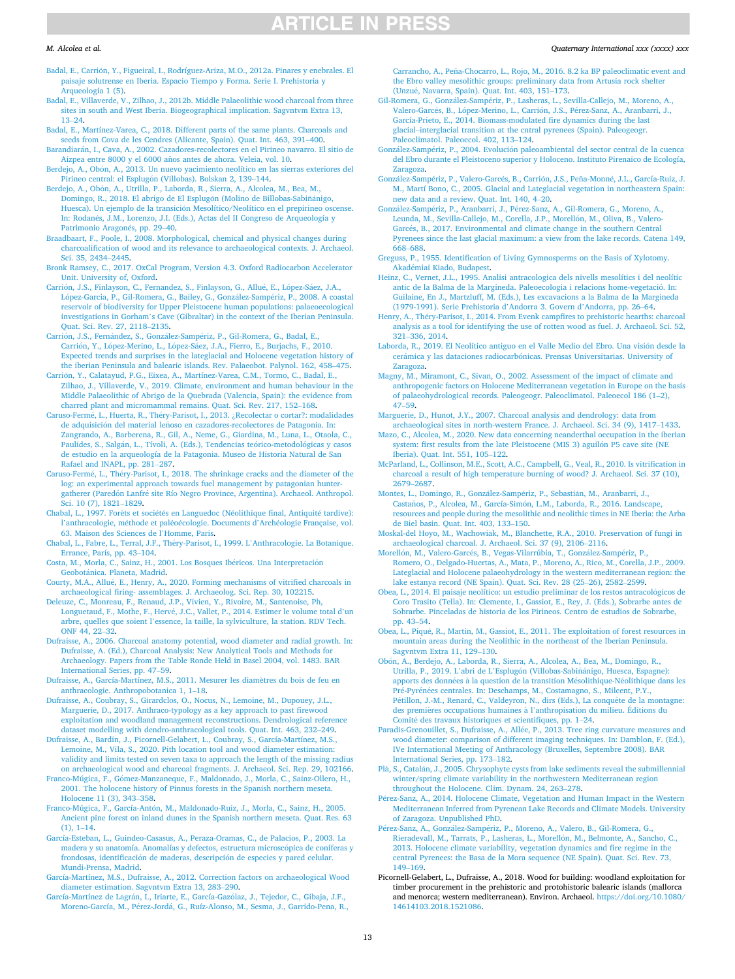# **ARTICLE IN PRESS**

### <span id="page-12-0"></span>*M. Alcolea et al.*

Badal, E., Carrión, Y., Figueiral, I., Rodríguez-Ariza, M.O., 2012a. Pinares y enebrales. El [paisaje solutrense en Iberia. Espacio Tiempo y Forma. Serie I. Prehistoria y](http://refhub.elsevier.com/S1040-6182(20)30655-8/sref15) [Arqueología 1 \(5\)](http://refhub.elsevier.com/S1040-6182(20)30655-8/sref15).

[Badal, E., Villaverde, V., Zilhao, J., 2012b. Middle Palaeolithic wood charcoal from three](http://refhub.elsevier.com/S1040-6182(20)30655-8/sref16)  [sites in south and West Iberia. Biogeographical implication. Sagvntvm Extra 13,](http://refhub.elsevier.com/S1040-6182(20)30655-8/sref16)  13–[24](http://refhub.elsevier.com/S1040-6182(20)30655-8/sref16).

- [Badal, E., Martínez-Varea, C., 2018. Different parts of the same plants. Charcoals and](http://refhub.elsevier.com/S1040-6182(20)30655-8/sref17)  [seeds from Cova de les Cendres \(Alicante, Spain\). Quat. Int. 463, 391](http://refhub.elsevier.com/S1040-6182(20)30655-8/sref17)–400.
- Barandiarán, I., Cava, A., 2002. Cazadores-recolectores en el Pirineo navarro. El sitio de Aizpea entre 8000 y el 6000 años antes de ahora. Veleia, vol. 10.

Berdejo, A., Obón, A., 2013. Un nuevo yacimiento neolítico en las sierras exteriores del Pirineo central: el Esplugón (Villobas). Bolskan 2, 139-144.

Berdejo, A., Obón, A., Utrilla, P., Laborda, R., Sierra, A., Alcolea, M., Bea, M., Domingo, R., 2018. El abrigo de El Esplugón (Molino de Billobas-Sabiñánigo, Huesca). Un ejemplo de la transición Mesolítico/Neolítico en el prepirineo oscense. In: Rodanés, J.M., Lorenzo, J.I. (Eds.), Actas del II Congreso de Arqueología y [Patrimonio Aragon](http://refhub.elsevier.com/S1040-6182(20)30655-8/sref20)és, pp. 29-40.

[Braadbaart, F., Poole, I., 2008. Morphological, chemical and physical changes during](http://refhub.elsevier.com/S1040-6182(20)30655-8/sref21)  [charcoalification of wood and its relevance to archaeological contexts. J. Archaeol.](http://refhub.elsevier.com/S1040-6182(20)30655-8/sref21)  [Sci. 35, 2434](http://refhub.elsevier.com/S1040-6182(20)30655-8/sref21)–2445.

[Bronk Ramsey, C., 2017. OxCal Program, Version 4.3. Oxford Radiocarbon Accelerator](http://refhub.elsevier.com/S1040-6182(20)30655-8/sref22)  [Unit. University of, Oxford.](http://refhub.elsevier.com/S1040-6182(20)30655-8/sref22)

Carrión, J.S., Finlayson, C., Fernandez, S., Finlayson, G., Allué, E., López-Sáez, J.A., López-Garcia, P., Gil-Romera, G., Bailey, G., González-Sampériz, P., 2008. A coastal [reservoir of biodiversity for Upper Pleistocene human populations: palaeoecological](http://refhub.elsevier.com/S1040-6182(20)30655-8/sref23)  investigations in Gorham'[s Cave \(Gibraltar\) in the context of the Iberian Peninsula.](http://refhub.elsevier.com/S1040-6182(20)30655-8/sref23)  [Quat. Sci. Rev. 27, 2118](http://refhub.elsevier.com/S1040-6182(20)30655-8/sref23)–2135.

Carrión, J.S., Fernández, S., González-Sampériz, P., Gil-Romera, G., Badal, E., Carrión, Y., López-Merino, L., López-Sáez, J.A., Fierro, E., Burjachs, F., 2010. [Expected trends and surprises in the lateglacial and Holocene vegetation history of](http://refhub.elsevier.com/S1040-6182(20)30655-8/sref24) [the iberian Peninsula and balearic islands. Rev. Palaeobot. Palynol. 162, 458](http://refhub.elsevier.com/S1040-6182(20)30655-8/sref24)–475.

Carrión, Y., Calatayud, P.G., Eixea, A., Martínez-Varea, C.M., Tormo, C., Badal, E., [Zilhao, J., Villaverde, V., 2019. Climate, environment and human behaviour in the](http://refhub.elsevier.com/S1040-6182(20)30655-8/sref25) [Middle Palaeolithic of Abrigo de la Quebrada \(Valencia, Spain\): the evidence from](http://refhub.elsevier.com/S1040-6182(20)30655-8/sref25)  [charred plant and micromammal remains. Quat. Sci. Rev. 217, 152](http://refhub.elsevier.com/S1040-6182(20)30655-8/sref25)–168.

Caruso-Fermé, L., Huerta, R., Théry-Parisot, I., 2013. ¿Recolectar o cortar?: modalidades de adquisición del material leñoso en cazadores-recolectores de Patagonia. In: [Zangrando, A., Barberena, R., Gil, A., Neme, G., Giardina, M., Luna, L., Otaola, C.,](http://refhub.elsevier.com/S1040-6182(20)30655-8/sref26) Paulides, S., Salgán, L., Tívoli, A. (Eds.), Tendencias teórico-metodológicas y casos [de estudio en la arqueología de la Patagonia. Museo de Historia Natural de San](http://refhub.elsevier.com/S1040-6182(20)30655-8/sref26)  [Rafael and INAPL, pp. 281](http://refhub.elsevier.com/S1040-6182(20)30655-8/sref26)–287.

Caruso-Fermé, L., Théry-Parisot, I., 2018. The shrinkage cracks and the diameter of the [log: an experimental approach towards fuel management by patagonian hunter](http://refhub.elsevier.com/S1040-6182(20)30655-8/sref27)gatherer (Paredón Lanfré site Río Negro Province, Argentina). Archaeol. Anthropol. [Sci. 10 \(7\), 1821](http://refhub.elsevier.com/S1040-6182(20)30655-8/sref27)–1829.

Chabal, L., 1997. Forêts et sociétés en Languedoc (Néolithique final, Antiquité tardive): l'anthracologie, méthode et paléoécologie. Documents d'Archéologie Française, vol. [63. Maison des Sciences de l](http://refhub.elsevier.com/S1040-6182(20)30655-8/sref28)'Homme, Paris.

- [Chabal, L., Fabre, L., Terral, J.F., Th](http://refhub.elsevier.com/S1040-6182(20)30655-8/sref29)´ery-Parisot, I., 1999. L'Anthracologie. La Botanique. [Errance, París, pp. 43](http://refhub.elsevier.com/S1040-6182(20)30655-8/sref29)–104.
- [Costa, M., Morla, C., Sainz, H., 2001. Los Bosques Ib](http://refhub.elsevier.com/S1040-6182(20)30655-8/sref30)éricos. Una Interpretación Geobotánica. Planeta, Madrid.

Courty, M.A., Allu´[e, E., Henry, A., 2020. Forming mechanisms of vitrified charcoals in](http://refhub.elsevier.com/S1040-6182(20)30655-8/sref31)  [archaeological firing- assemblages. J. Archaeolog. Sci. Rep. 30, 102215](http://refhub.elsevier.com/S1040-6182(20)30655-8/sref31).

[Deleuze, C., Monreau, F., Renaud, J.P., Vivien, Y., Rivoire, M., Santenoise, Ph,](http://refhub.elsevier.com/S1040-6182(20)30655-8/sref32)  Longuetaud, F., Mothe, F., Hervé, J.C., Vallet, P., 2014. Estimer le volume total d'un arbre, quelles que soient l'[essence, la taille, la sylviculture, la station. RDV Tech.](http://refhub.elsevier.com/S1040-6182(20)30655-8/sref32)  [ONF 44, 22](http://refhub.elsevier.com/S1040-6182(20)30655-8/sref32)–32.

[Dufraisse, A., 2006. Charcoal anatomy potential, wood diameter and radial growth. In:](http://refhub.elsevier.com/S1040-6182(20)30655-8/sref33) [Dufraisse, A. \(Ed.\), Charcoal Analysis: New Analytical Tools and Methods for](http://refhub.elsevier.com/S1040-6182(20)30655-8/sref33)  [Archaeology. Papers from the Table Ronde Held in Basel 2004, vol. 1483. BAR](http://refhub.elsevier.com/S1040-6182(20)30655-8/sref33) [International Series, pp. 47](http://refhub.elsevier.com/S1040-6182(20)30655-8/sref33)–59.

[Dufraisse, A., García-Martínez, M.S., 2011. Mesurer les diam](http://refhub.elsevier.com/S1040-6182(20)30655-8/sref34)ètres du bois de feu en [anthracologie. Anthropobotanica 1, 1](http://refhub.elsevier.com/S1040-6182(20)30655-8/sref34)–18.

[Dufraisse, A., Coubray, S., Girardclos, O., Nocus, N., Lemoine, M., Dupouey, J.L.,](http://refhub.elsevier.com/S1040-6182(20)30655-8/sref35) [Marguerie, D., 2017. Anthraco-typology as a key approach to past firewood](http://refhub.elsevier.com/S1040-6182(20)30655-8/sref35)  [exploitation and woodland management reconstructions. Dendrological reference](http://refhub.elsevier.com/S1040-6182(20)30655-8/sref35) [dataset modelling with dendro-anthracological tools. Quat. Int. 463, 232](http://refhub.elsevier.com/S1040-6182(20)30655-8/sref35)–249.

[Dufraisse, A., Bardin, J., Picornell-Gelabert, L., Coubray, S., García-Martínez, M.S.,](http://refhub.elsevier.com/S1040-6182(20)30655-8/sref36) [Lemoine, M., Vila, S., 2020. Pith location tool and wood diameter estimation:](http://refhub.elsevier.com/S1040-6182(20)30655-8/sref36)  [validity and limits tested on seven taxa to approach the length of the missing radius](http://refhub.elsevier.com/S1040-6182(20)30655-8/sref36)  [on archaeological wood and charcoal fragments. J. Archaeol. Sci. Rep. 29, 102166.](http://refhub.elsevier.com/S1040-6182(20)30655-8/sref36)

Franco-Múgica, F., Gómez-Manzaneque, F., Maldonado, J., Morla, C., Sainz-Ollero, H., [2001. The holocene history of Pinnus forests in the Spanish northern meseta.](http://refhub.elsevier.com/S1040-6182(20)30655-8/sref37) [Holocene 11 \(3\), 343](http://refhub.elsevier.com/S1040-6182(20)30655-8/sref37)–358.

Franco-Múgica, F., García-Antón, M., Maldonado-Ruiz, J., Morla, C., Sainz, H., 2005. [Ancient pine forest on inland dunes in the Spanish northern meseta. Quat. Res. 63](http://refhub.elsevier.com/S1040-6182(20)30655-8/sref38) [\(1\), 1](http://refhub.elsevier.com/S1040-6182(20)30655-8/sref38)–14.

[García-Esteban, L., Guindeo-Casasus, A., Peraza-Oramas, C., de Palacios, P., 2003. La](http://refhub.elsevier.com/S1040-6182(20)30655-8/sref39) madera y su anatomía. Anomalías y defectos, estructura microscópica de coníferas y frondosas, identificación de maderas, descripción de especies y pared celular. [Mundi-Prensa, Madrid](http://refhub.elsevier.com/S1040-6182(20)30655-8/sref39).

[García-Martínez, M.S., Dufraisse, A., 2012. Correction factors on archaeological Wood](http://refhub.elsevier.com/S1040-6182(20)30655-8/sref40) [diameter estimation. Sagvntvm Extra 13, 283](http://refhub.elsevier.com/S1040-6182(20)30655-8/sref40)–290.

García-Martínez de Lagrán, I., Iriarte, E., García-Gazólaz, J., Tejedor, C., Gibaja, J.F., Moreno-García, M., Pérez-Jordá, G., Ruíz-Alonso, M., Sesma, J., Garrido-Pena, R., Carrancho, A., Peña-Chocarro, L., Rojo, M., 2016. 8.2 ka BP paleoclimatic event and [the Ebro valley mesolithic groups: preliminary data from Artusia rock shelter](http://refhub.elsevier.com/S1040-6182(20)30655-8/sref41) (Unzu´[e, Navarra, Spain\). Quat. Int. 403, 151](http://refhub.elsevier.com/S1040-6182(20)30655-8/sref41)–173.

*Quaternary International xxx (xxxx) xxx*

Gil-Romera, G., González-Sampériz, P., Lasheras, L., Sevilla-Callejo, M., Moreno, A., Valero-Garcés, B., López-Merino, L., Carrión, J.S., Pérez-Sanz, A., Aranbarri, J., [García-Prieto, E., 2014. Biomass-modulated fire dynamics during the last](http://refhub.elsevier.com/S1040-6182(20)30655-8/sref42)  glacial–[interglacial transition at the cntral pyrenees \(Spain\). Paleogeogr.](http://refhub.elsevier.com/S1040-6182(20)30655-8/sref42) [Paleoclimatol. Paleoecol. 402, 113](http://refhub.elsevier.com/S1040-6182(20)30655-8/sref42)–124.

González-Sampériz, P., 2004. Evolución paleoambiental del sector central de la cuenca [del Ebro durante el Pleistoceno superior y Holoceno. Instituto Pirenaico de Ecología,](http://refhub.elsevier.com/S1040-6182(20)30655-8/sref43)  [Zaragoza](http://refhub.elsevier.com/S1040-6182(20)30655-8/sref43).

González-Sampériz, P., Valero-Garcés, B., Carrión, J.S., Peña-Monné, J.L., García-Ruiz, J. [M., Martí Bono, C., 2005. Glacial and Lateglacial vegetation in northeastern Spain:](http://refhub.elsevier.com/S1040-6182(20)30655-8/sref44) [new data and a review. Quat. Int. 140, 4](http://refhub.elsevier.com/S1040-6182(20)30655-8/sref44)–20.

González-Sampériz, P., Aranbarri, J., Pérez-Sanz, A., Gil-Romera, G., Moreno, A., Leunda, M., Sevilla-Callejo, M., Corella, J.P., Morellón, M., Oliva, B., Valero-Garcés, B., 2017. Environmental and climate change in the southern Central [Pyrenees since the last glacial maximum: a view from the lake records. Catena 149,](http://refhub.elsevier.com/S1040-6182(20)30655-8/sref45)  668–[688](http://refhub.elsevier.com/S1040-6182(20)30655-8/sref45).

[Greguss, P., 1955. Identification of Living Gymnosperms on the Basis of Xylotomy.](http://refhub.elsevier.com/S1040-6182(20)30655-8/sref46)  Akadémiai Kiado, Budapest.

[Heinz, C., Vernet, J.L., 1995. Analisi antracologica dels nivells mesolítics i del neolític](http://refhub.elsevier.com/S1040-6182(20)30655-8/sref47)  [antic de la Balma de la Margineda. Paleoecologia i relacions home-vegetacio. In:](http://refhub.elsevier.com/S1040-6182(20)30655-8/sref47) ´ [Guilaine, En J., Martzluff, M. \(Eds.\), Les excavacions a la Balma de la Margineda](http://refhub.elsevier.com/S1040-6182(20)30655-8/sref47) [\(1979-1991\). Serie Prehistoria d](http://refhub.elsevier.com/S1040-6182(20)30655-8/sref47)'Andorra 3. Govern d'Andorra, pp. 26–64.

Henry, A., Théry-Parisot, I., 2014. From Evenk campfires to prehistoric hearths: charcoal [analysis as a tool for identifying the use of rotten wood as fuel. J. Archaeol. Sci. 52,](http://refhub.elsevier.com/S1040-6182(20)30655-8/sref48)  321–[336, 2014.](http://refhub.elsevier.com/S1040-6182(20)30655-8/sref48)

Laborda, R., 2019. El Neolítico antiguo en el Valle Medio del Ebro. Una visión desde la cerámica y las dataciones radiocarbónicas. Prensas Universitarias. University of [Zaragoza](http://refhub.elsevier.com/S1040-6182(20)30655-8/sref49).

[Magny, M., Miramont, C., Sivan, O., 2002. Assessment of the impact of climate and](http://refhub.elsevier.com/S1040-6182(20)30655-8/sref50)  [anthropogenic factors on Holocene Mediterranean vegetation in Europe on the basis](http://refhub.elsevier.com/S1040-6182(20)30655-8/sref50)  [of palaeohydrological records. Paleogeogr. Paleoclimatol. Paleoecol 186 \(1](http://refhub.elsevier.com/S1040-6182(20)30655-8/sref50)–2), 47–[59](http://refhub.elsevier.com/S1040-6182(20)30655-8/sref50).

[Marguerie, D., Hunot, J.Y., 2007. Charcoal analysis and dendrology: data from](http://refhub.elsevier.com/S1040-6182(20)30655-8/sref51)  [archaeological sites in north-western France. J. Archaeol. Sci. 34 \(9\), 1417](http://refhub.elsevier.com/S1040-6182(20)30655-8/sref51)–1433.

[Mazo, C., Alcolea, M., 2020. New data concerning neanderthal occupation in the iberian](http://refhub.elsevier.com/S1040-6182(20)30655-8/sref52)  system: first results from the late Pleistocene (MIS 3) aguilón P5 cave site (NE [Iberia\). Quat. Int. 551, 105](http://refhub.elsevier.com/S1040-6182(20)30655-8/sref52)–122.

[McParland, L., Collinson, M.E., Scott, A.C., Campbell, G., Veal, R., 2010. Is vitrification in](http://refhub.elsevier.com/S1040-6182(20)30655-8/sref53)  [charcoal a result of high temperature burning of wood? J. Archaeol. Sci. 37 \(10\),](http://refhub.elsevier.com/S1040-6182(20)30655-8/sref53)  2679–[2687](http://refhub.elsevier.com/S1040-6182(20)30655-8/sref53).

Montes, L., Domingo, R., González-Sampériz, P., Sebastián, M., Aranbarri, J., Castaños, P., Alcolea, M., García-Simón, L.M., Laborda, R., 2016. Landscape [resources and people during the mesolithic and neolithic times in NE Iberia: the Arba](http://refhub.elsevier.com/S1040-6182(20)30655-8/sref54)  [de Biel basin. Quat. Int. 403, 133](http://refhub.elsevier.com/S1040-6182(20)30655-8/sref54)–150.

[Moskal-del Hoyo, M., Wachowiak, M., Blanchette, R.A., 2010. Preservation of fungi in](http://refhub.elsevier.com/S1040-6182(20)30655-8/sref55)  [archaeological charcoal. J. Archaeol. Sci. 37 \(9\), 2106](http://refhub.elsevier.com/S1040-6182(20)30655-8/sref55)–2116.

Morellón, M., Valero-Garcés, B., Vegas-Vilarrúbia, T., González-Sampériz, P. [Romero, O., Delgado-Huertas, A., Mata, P., Moreno, A., Rico, M., Corella, J.P., 2009.](http://refhub.elsevier.com/S1040-6182(20)30655-8/sref56)  [Lateglacial and Holocene palaeohydrology in the western mediterranean region: the](http://refhub.elsevier.com/S1040-6182(20)30655-8/sref56)  [lake estanya record \(NE Spain\). Quat. Sci. Rev. 28 \(25](http://refhub.elsevier.com/S1040-6182(20)30655-8/sref56)–26), 2582–2599.

[Obea, L., 2014. El paisaje neolítico: un estudio preliminar de los restos antracologicos de](http://refhub.elsevier.com/S1040-6182(20)30655-8/sref57) ´ [Coro Trasito \(Tella\). In: Clemente, I., Gassiot, E., Rey, J. \(Eds.\), Sobrarbe antes de](http://refhub.elsevier.com/S1040-6182(20)30655-8/sref57)  [Sobrarbe. Pinceladas de historia de los Pirineos. Centro de estudios de Sobrarbe,](http://refhub.elsevier.com/S1040-6182(20)30655-8/sref57) [pp. 43](http://refhub.elsevier.com/S1040-6182(20)30655-8/sref57)–54.

Obea, L., Piqué, R., Martin, M., Gassiot, E., 2011. The exploitation of forest resources in [mountain areas during the Neolithic in the northeast of the Iberian Peninsula.](http://refhub.elsevier.com/S1040-6182(20)30655-8/sref58)  [Sagvntvm Extra 11, 129](http://refhub.elsevier.com/S1040-6182(20)30655-8/sref58)–130.

[Obon, A., Berdejo, A., Laborda, R., Sierra, A., Alcolea, A., Bea, M., Domingo, R.,](http://refhub.elsevier.com/S1040-6182(20)30655-8/sref59) ´ Utrilla, P., 2019. L'abri de L'Esplugón (Villobas-Sabiñánigo, Huesca, Espagne): apports des données à la question de la transition Mésolithique-Néolithique dans les Pré-Pyrénées centrales. In: Deschamps, M., Costamagno, S., Milcent, P.Y., Pétillon, J.-M., Renard, C., Valdeyron, N., dirs (Eds.), La conquête de la montagne: des premières occupations humaines à l'anthropisation du milieu. Éditions du Comité des travaux historiques et scientifiques, pp. 1–24.

Paradis-Grenouillet, S., Dufraisse, A., Allée, P., 2013. Tree ring curvature measures and [wood diameter: comparison of different imaging techniques. In: Damblon, F. \(Ed.\),](http://refhub.elsevier.com/S1040-6182(20)30655-8/sref60) [IVe International Meeting of Anthracology \(Bruxelles, Septembre 2008\). BAR](http://refhub.elsevier.com/S1040-6182(20)30655-8/sref60)  [International Series, pp. 173](http://refhub.elsevier.com/S1040-6182(20)30655-8/sref60)–182.

Plà, S., Catalán, J., 2005. Chrysophyte cysts from lake sediments reveal the submillennial [winter/spring climate variability in the northwestern Mediterranean region](http://refhub.elsevier.com/S1040-6182(20)30655-8/sref61)  [throughout the Holocene. Clim. Dynam. 24, 263](http://refhub.elsevier.com/S1040-6182(20)30655-8/sref61)–278.

Pérez-Sanz, A., 2014. Holocene Climate, Vegetation and Human Impact in the Western [Mediterranean Inferred from Pyrenean Lake Records and Climate Models. University](http://refhub.elsevier.com/S1040-6182(20)30655-8/sref62)  [of Zaragoza. Unpublished PhD](http://refhub.elsevier.com/S1040-6182(20)30655-8/sref62).

Pérez-Sanz, A., González-Sampériz, P., Moreno, A., Valero, B., Gil-Romera, G., Rieradevall, M., Tarrats, P., Lasheras, L., Morellón, M., Belmonte, A., Sancho, C., [2013. Holocene climate variability, vegetation dynamics and fire regime in the](http://refhub.elsevier.com/S1040-6182(20)30655-8/sref63) [central Pyrenees: the Basa de la Mora sequence \(NE Spain\). Quat. Sci. Rev. 73,](http://refhub.elsevier.com/S1040-6182(20)30655-8/sref63) 149–[169](http://refhub.elsevier.com/S1040-6182(20)30655-8/sref63).

Picornell-Gelabert, L., Dufraisse, A., 2018. Wood for building: woodland exploitation for timber procurement in the prehistoric and protohistoric balearic islands (mallorca and menorca; western mediterranean). Environ. Archaeol. [https://doi.org/10.1080/](https://doi.org/10.1080/14614103.2018.1521086)  [14614103.2018.1521086](https://doi.org/10.1080/14614103.2018.1521086).